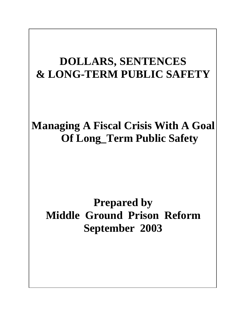# **DOLLARS, SENTENCES & LONG-TERM PUBLIC SAFETY**

# **Managing A Fiscal Crisis With A Goal Of Long\_Term Public Safety**

# **Prepared by Middle Ground Prison Reform September 2003**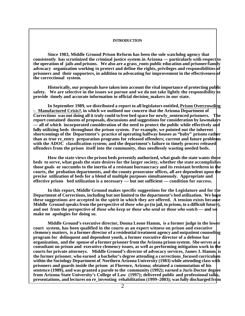#### **INTRODUCTION**

**Since 1983, Middle Ground Prison Reform has been the sole watchdog agency that consistently has scrutinized the criminal justice system in Arizona — particularly with respect to the operation of jails and prisons. We also are a grass\_roots public education and prisoner/family advocacy organization working to protect and define the rights, privileges and responsibilities of prisoners and their supporters, in addition to advocating for improvement in the effectiveness of the correctional system.**

**Historically, our proposals have taken into account the vital importance of protecting public safety. We are selective in the issues we pursue and we do not take lightly the responsibility to provide timely and accurate information to official decision\_makers in our state.** 

**In September 1989, we distributed a report to all legislators entitled, Prison Overcrowding – Manufactured Crisis?, in which we outlined our concern that the Arizona Department of Corrections was not doing all it truly could to free bed space for newly\_sentenced prisoners. The report contained dozens of proposals, discussions and suggestions for consideration by lawmakers — all of which incorporated consideration of the need to protect the public while effectively and fully utilizing beds throughout the prison system. For example, we pointed out the inherent shortcomings of the Department's practice of operating halfway houses as "baby" prisons rather than as true re\_entry preparation programs for released offenders; current and future problems with the ADOC classification system; and the department's failure to timely process released offenders from the prison itself into the community, thus needlessly wasting needed beds.**

**How the state views the prison beds presently authorized, what goals the state wants those beds to serve, what goals the state desires for the larger society, whether the state accomplishes those goals or succumbs to the inertia of a resistant bureaucracy and its resistant brethren in the courts, the probation departments, and the county prosecutor offices, all are dependent upon the precise utilization of beds for a blend of multiple purposes simultaneously. Appropriate and effective prison bed utilization is a necessary — but not sufficient — condition for success.**

**In this report, Middle Ground makes specific suggestions for the Legislature and for the Department of Corrections, including but not limited to the department's bed utilization. We hope these suggestions are accepted in the spirit in which they are offered. A tension exists because Middle Ground speaks from the perspective of** *those who go* **(to jail, to prison, to a difficult future), and not from the perspective of** *those who keep* **or** *those who send* **or** *those who watch* **— and we make no apologies for doing so.**

**Middle Ground's executive director, Donna Leone Hamm, is a former judge in the lower court system, has been qualified in the courts as an expert witness on prison and executive clemency matters, is a former director of a residential treatment agency and outpatient counseling program for delinquent and dependent youth, a former executive director of a defense bar organization, and the spouse of a former prisoner from the Arizona prison system. She serves as a consultant on prison and executive clemency issues, as well as performing mitigation work in the courts for private attorneys. Middle Ground's director of advocacy services, James J. Hamm, is the former prisoner, who earned a bachelor's degree attending a corrections\_focused curriculum within the Sociology Department of Northern Arizona University (1983) while attending class with prisoners and guards inside the prison at Florence, Arizona; obtained a commutation of his sentence (1989), and was granted a parole to the community (1992); earned a Juris Doctor degree from Arizona State University's College of Law (1997); delivered public and professional talks, presentations, and lectures on re\_inventing rehabilitation (1999–2003); was fully discharged from**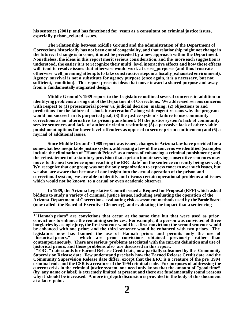**his sentence (2001); and has functioned for years as a consultant on criminal justice issues, especially prison\_related issues.**

**The relationship between Middle Ground and the administration of the Department of Corrections historically has not been one of congeniality, and that relationship might not change in the future; if change is to come, it must be preceded by a new approach within the Department. Nonetheless, the ideas in this report merit serious consideration, and the more each suggestion is understood, the easier it is to recognize their multi\_level interactive effects and how those effects will tend to resolve issues that otherwise would work at cross\_purposes (and thus frustrate otherwise well\_meaning attempts to take constructive steps in a fiscally\_exhausted environment). Agency survival is not a substitute for agency purpose (once again, it is a necessary, but not sufficient, condition). This report presents ideas that move toward a shared purpose and away from a fundamentally stagnated design.**

**Middle Ground's 1989 report to the Legislature outlined several concerns in addition to identifying problems arising out of the Department of Corrections. We addressed serious concerns with respect to (1) prosecutorial power vs. judicial decision\_making; (2) objections to and predictions for the failure of "shock incarceration" along with cogent reasons why the program would not succeed in its purported goal; (3) the justice system's failure to use community corrections as an alternative\_to\_prison punishment; (4) the justice system's lack of community service sentences and lack of authentic victim restitution; (5) a pervasive lack of other viable punishment options for lower level offenders as opposed to secure prison confinement; and (6) a myriad of additional issues.**

**Since Middle Ground's 1989 report was issued, changes in Arizona law have provided for a somewhat less inequitable justice system, addressing a few of the concerns we identified (examples**  include the elimination of "Hannah Priors" as a means of enhancing a criminal punishment<sup>1</sup>; and **the reinstatement of a statutory provision that a prison inmate serving consecutive sentences may**  move to the next sentence upon reaching the ERC date<sup>2</sup> on the sentence currently being served). **We recognize that our group was not the only organization to express concern over such issues, but we also are aware that because of our insight into the actual operation of the prison and correctional system, we are able to identify and discuss certain operational problems and issues which would not be known to a casual or even academic observer.**

**In 1989, the Arizona Legislative Council issued a Request for Proposal (RFP) which asked bidders to study a variety of criminal justice issues, including evaluating the operation of the Arizona Department of Corrections, evaluating risk assessment methods used by the Parole Board (now called the Board of Executive Clemency), and evaluating the impact that a sentencing** 

**<sup>1</sup>"Hannah priors" are convictions that occur at the same time but that were used as prior convictions to enhance the remaining sentences. For example, if a person was convicted of three burglaries by a single jury, the first sentence would be a first conviction; the second sentence would be enhanced with one prior; and the third sentence would be enhanced with two priors. The legislature now has banned the use of Hannah priors and permits only the use of "historical priors," which are prior convictions obtained previously rather than contemporaneously. There are serious problems associated with the current definition and use of historical priors, and those problems also are discussed in this report.**

<sup>2</sup>**"ERC " date stands for Earned Release Credit date, now partially subsumed by the Community Supervision Release date. Few understand precisely how the Earned Release Credit date and the Community Supervision Release date differ, except that the ERC is a creature of the pre\_1994 criminal code and the CSR is a creature of the 1994 criminal code. For purposes of addressing the current crisis in the criminal justice system, one need only know that the amount of "good time" (by any name or label) is extremely limited at present and there are fundamentally sound reasons why it should be increased. A more in\_depth discussion is provided in the body of this document at a later point.**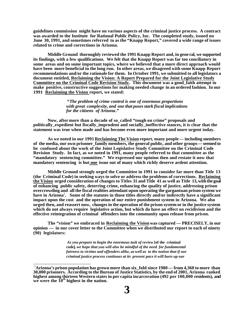**guidelines commission might have on various aspects of the criminal justice process. A contract was awarded to the Institute for Rational Public Policy, Inc. The completed study, issued on June 30, 1991, and sometimes referred to as the "Knapp Report," covered a wide range of issues related to crime and corrections in Arizona.**

**Middle Ground thoroughly reviewed the 1991 Knapp Report and, in gene ral, we supported its findings, with a few qualifications. We felt that the Knapp Report was far too conciliatory in some areas and on some important topics, where we believed that a more direct approach would have been more beneficial in the long run. In other areas, we disagreed with some Knapp Report recommendations and/or the rationale for them. In October 1991, we submitted to all legislators a document entitled, Reclaiming the Vision: A Report Prepared for the Joint Legislative Study Committee on the Criminal Code Revision Study. This document was a good\_faith attempt to make positive, constructive suggestions for making needed change in an ordered fashion. In our 1991 Reclaiming the Vision report, we stated:**

> **"***The problem of crime control is one of enormous proportions with great complexity, and one that poses stark fiscal implications for the citizens of Arizona***."**

**Now, after more than a decade of so\_called "tough on crime" proposals and politically\_expedient but fiscally\_imprudent and socially\_ineffective stances, it is clear that the statement was true when made and has become even more important and more urgent today.**

**As we noted in our 1991 Reclaiming The Vision report, many people — including members**  of the media, our own prisoner family members, the general public, and other groups — seemed to **be confused about the work of the Joint Legislative Study Committee on the Criminal Code Revision Study. In fact, as we noted in 1991, many people referred to that committee as the "mandatory sentencing committee." We expressed our opinion then and restate it now that mandatory sentencing is but one issue out of many which richly deserve ardent attention.**

**Middle Ground strongly urged the Committee in 1991 to consider far more than Title 13 (the Criminal Code) in seeking ways to solve or address the problems of corrections. Reclaiming the Vision urged consideration of changes to Titles 31 and Title 41 as well as Title 13, with the goal of enhancing public safety, deterring crime, enhancing the quality of justice, addressing prison overcrowding and all the fiscal realities attendant upon operating the gargantuan prison system we have in Arizona**<sup>3</sup> **. Some of the statutes in those titles directly and/or indirectly have a significant impact upon the cost and the operation of our entire punishment system in Arizona. We also urged then, and reassert now, changes in the operation of the prison system or in the justice system which do not always require legislative action, but which do have an effect on recidivism and the effective reintegration of criminal offenders into the community upon release from prison.** 

**The "vision" we embraced in Reclaiming the Vision was captured — PRECISELY, in our opinion — in our cover letter to the Committee when we distributed our report to each of ninety (90) legislators:**

> *As you prepare to begin the enormous task of review* **[of the criminal code]***, we hope that you will also be mindful of the need for fundamental fairness to victims and offenders alike, as well as to the notion that if our criminal justice process continues at its present pace it will burn up our*

<sup>3</sup>**Arizona's prison population has grown more than six\_fold since 1980 — from 4,360 to more than 30,000 prisoners. According to the Bureau of Justice Statistics, by the end of 2001, Arizona ranked highest among thirteen Western states in per capita incarceration (492 per 100,000 residents), and we were the 10th highest in the nation.**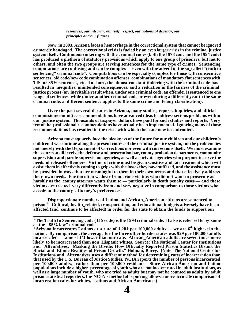*resources, our integrity, our self\_respect, our notions of decency, our principles and our futures.*

**Now, in 2003, Arizona faces a hemorrhage in the correctional system that cannot be ignored or merely bandaged. The correctional crisis is fueled by an even larger crisis in the criminal justice system itself. Continuous tinkering with the criminal codes (both the 1978 code and the 1994 code) has produced a plethora of statutory provisions which apply to one group of prisoners, but not to others, and often the two groups are serving sentences for the same type of crimes. Sentencing computations are confusing and can be complex — even with the advent of the so\_called "truth in**  sentencing" criminal code<sup>4</sup>. Computations can be especially complex for those with consecutive **sentences, old code/new code combination offenses, combinations of mandatory flat sentences with TIS or 85% sentences, etc. In short, the almost constant tinkering with the criminal code has resulted in inequities, unintended consequences, and a reduction in the fairness of the criminal justice process (an inevitable result when, under one criminal code, an offender is sentenced to one range of sentences while under another criminal code or even during a different year in the same criminal code, a different sentence applies to the same crime and felony classification).**

**Over the past several decades in Arizona, many studies, reports, inquiries, and official commission/committee recommendations have advanced ideas to address serious problems within our justice system. Thousands of taxpayer dollars have paid for such studies and reports. Very few of the professional recommendations have actually been implemented. Ignoring many of those recommendations has resulted in the crisis with which the state now is confronted.**

**Arizona must squarely face the bleakness of the future for our children and our children's children if we continue along the present course of the criminal justice system, for the problem lies not merely with the Department of Corrections nor even with corrections itself. We must examine the courts at all levels, the defense and prosecution bar, county probation departments, community supervision and parole supervision agencies, as well as private agencies who purport to serve the needs of released offenders. Victims of crime must be given sensitive and fair treatment which will assist them in effectively coming to grips with the losses they have suffered, and the assistance must be provided in ways that are meaningful to them in their own terms and that effectively address their own needs. Far too often we hear from crime victims who did not want to prosecute as harshly as the county attorney wants them to — particularly in death penalty cases — and these victims are treated very differently from and very negative in comparison to those victims who accede to the county attorney's preferences.**

**Disproportionate numbers of Latino and African\_American citizens are sentenced to prison.**<sup>5</sup>  **Cultural, health\_related, transportation, and educational budgets adversely have been affected (and continue to be affected) in order for the state to obtain the funds to support our** 

<sup>4</sup>**The Truth In Sentencing code (TIS code) is the 1994 criminal code. It also is referred to by some as the "85% law" criminal code.**

<sup>5</sup>**Arizona incarcerates Latinos at a rate of 1,281 per 100,000 adults — we are 6th highest in the nation. By comparison, the average for the three other border states was 929 per 100,000 adults incarcerated — almost 1/3 lower than our rate. African\_American adults are seven times more likely to be incarcerated than non\_Hispanic whites. Source: The National Center for Institutions and Alternatives, "Masking the Divide: How Officially Reported Prison Statistics Distort the Racial and Ethnic Realities of Prison Growth," Holman, Barry. (Note: The National Center for Institutions and Alternatives uses a different method for determining rates of incarceration than that used by the U.S. Bureau of Justice Studies. NCIA reports the number of persons incarcerated per 100,000 adults, rather than per 100,000 residents. Since African-American and Latino populations include a higher percentage of youth who are not incarcerated in adult institutions, as**  well as a large number of youth who are tried as adults but may not be counted as adults by adult **prison statistical reporters, the NCIA's method of reporting allows a more accurate comparison of incarceration rates for whites, Latinos and African-Americans.)**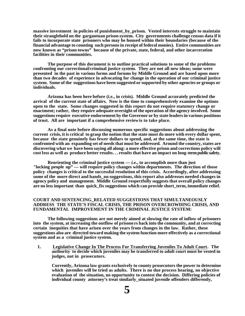**massive investment in policies of punishment\_by\_prison. Vested interests struggle to maintain their stranglehold on the gargantuan prison system. City governments challenge census data if it fails to incorporate state prisoners who may be housed within their boundaries (because of the financial advantage to counting such persons in receipt of federal monies). Entire communities are now known as "prison towns" because of the private, state, federal, and other incarceration facilities in their communities.** 

**The purpose of this document is to outline practical solutions to some of the problems confronting our correctional/criminal justice system. They are not all new ideas; some were presented in the past in various forms and forums by Middle Ground and are based upon more than two decades of experience in advocating for change in the operation of our criminal justice system. Some of the suggestions have been suggested or supported by other agencies or groups or individuals.**

**Arizona has been here before (***i.e.***, in crisis). Middle Ground accurately predicted the arrival of the current state of affairs. Now is the time to comprehensively examine the options open to the state. Some changes suggested in this report do not require statutory change or enactment; rather, they require adequate oversight of the operation of the agency involved. Some suggestions require executive endorsement by the Governor or by state leaders in various positions of trust. All are important if a comprehensive review is to take place.**

**As a final note before discussing numerous specific suggestions about addressing the current crisis, it is critical to grasp the notion that the state must do more with every dollar spent, because the state genuinely has fewer dollars to spend, and, at the same time, the state is confronted with an expanding set of needs that must be addressed. Around the country, states are discovering what we have been saying all along: a more effective prison and corrections policy will cost less as well as produce better results. . . results that have an impact on long-term public safety.**

**Reorienting the criminal justice system —** *i.e.***, to accomplish more than just "locking people up" — will require policy changes within departments. The direction of those policy changes is critical to the successful resolution of this crisis. Accordingly, after addressing some of the more direct and hands\_on suggestions, this report also addresses needed changes in agency policy and management. Middle Ground respectfully suggests that overall policy changes**  are no less important than quick fix suggestions which can provide short term, immediate relief.

#### **COURT AND SENTENCING\_RELATED SUGGESTIONS THAT SIMULTANEOUSLY ADDRESS THE STATE'S FISCAL CRISIS, THE PRISON OVERCROWDING CRISIS, AND FUNDAMENTAL IMPROVEMENT IN THE CRIMINAL JUSTICE SYSTEM:**

**The following suggestions are not merely aimed at slowing the rate of inflow of prisoners into the system, at increasing the outflow of prisone rs back into the community, and at correcting certain inequities that have arisen over the years from changes in the law. Rather, these suggestions also are directed toward making the system function more effectively as a correctional system and as a criminal justice system.**

**1. Legislative Change In The Process For Transferring Juveniles To Adult Court. The authority to decide which juveniles may be transferred to adult court must be vested in judges, not in prosecutors.**

**Currently, Arizona law grants exclusively to county prosecutors the power to determine which juveniles will be tried as adults. There is no due process hearing, no objective evaluation of the situation, no opportunity to contest the decision. Differing policies of individual county attorney's treat similarly\_situated juvenile offenders differently,**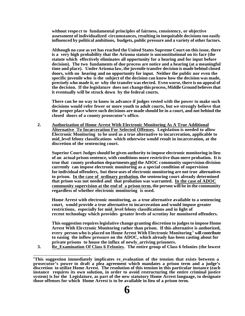**without respe ct to fundamental principles of fairness, consistency, or objective assessment of individualized circumstances, resulting in inequitable decisions too easily influenced by political ambitions, budgets, public pressure and a variety of other factors.**

**Although no case as yet has reached the United States Supreme Court on this issue, there is a very high probability that the Arizona statute is unconstitutional on its face (the statute which effectively eliminates all opportunity for a hearing and for input before decision). The two fundaments of due process are notice and a hearing (at a meaningful time and place). UnderArizona law, the juvenile transfer decision is made behind closed doors, with no hearing and no opportunity for input. Neither the public nor even the specific juvenile who is the subject of the decision can know how the decision was made, precisely who made it, or why the transfer was elected. Even worse, there is no appeal of the decision. If the legislature does not change this process, Middle Ground believes that it eventually will be struck down by the federal courts.**

**There can be no way to know in advance if judges vested with the power to make such decisions would refer fewer or more youth to adult courts, but we strongly believe that the proper place where such decisions are made should be in a court, and not behind the closed doors of a county prosecutor's office.**

**2. Authorization of Home Arrest With Electronic Monitoring As A True Additional Alternative To Incarceration For Selected Offenses. Legislation is needed to allow Electronic Monitoring to be used as a true alternative to incarceration, applicable to mid\_level felony classifications which otherwise would result in incarceration, at the discretion of the sentencing court.**

**Superior Court Judges should be given authority to impose electronic monitoring in lieu of an actual prison sentence, with conditions more restrictive than mere probation. It is true that county probation departments and the ADOC community supervision division currently can impose electronic monitoring as a special condition of supervision for individual offenders, but these uses of electronic monitoring are not true alternatives to prison. In the case of ordinary probation, the sentencing court already determined that prison was not needed and that probation was warranted. In the case of ADOC community supervision at the end of a prison term, the person will be in the community regardless of whether electronic monitoring is used.**

**Home Arrest with electronic monitoring, as a true alternative available to a sentencing court, would provide a true alternative to incarceration and would impose greater restrictions, especially for mid\_level felony classifications and in light of recent technology which provides greater levels of scrutiny for monitored offenders.**

**This suggestion requires legislative change granting discretion to judges to impose Home Arrest With Ele ctronic Monitoring rather than prison. If this alternative is authorized, every person who is placed on Home Arrest With Electronic Monitoring** <sup>6</sup>  **will contribute to easing the inflow pressure on the ADOC, which already has been casting about for private prisons to house the influx of newly\_arriving prisoners.**

**3. Re\_Examination Of Class 6 Felonies. The entire group of Class 6 felonies (the lowest** 

<sup>6</sup>**This suggestion immediately implicates re\_evaluation of the tension that exists between a prosecutor's power to draft a plea agreement which mandates a prison term and a judge's discretion to utilize Home Arrest. The resolution of this tension in this particular instance (each instance requires its own solution, in order to avoid restructuring the entire criminal justice system) is for the Legislature, as part of the new statutory Home Arrest language, to designate those offenses for which Home Arrest is to be available in lieu of a prison term.**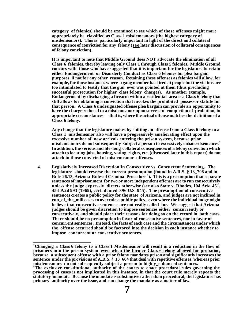**category of felonies) should be examined to see which of those offenses might more appropriately be classified as Class 1 misdemeanors (the highest category of misdemeanors). This is particularly important in light of the direct and collateral consequence of conviction for any felony (see later discussion of collateral consequences of felony conviction).**

**It is important to note that Middle Ground does NOT advocate the elimination of all Class 6 felonies, thereby leaving only Class 1 through Class 5 felonies. Middle Ground concurs with those who have suggested that it is important for the legislature to retain either Endangerment or Disorderly Conduct as Class 6 felonies for plea bargain purposes, if not for any other reason. Retaining these offenses as felonies will allow, for example, for those instances where a gang member has fired at people but the victims are too intimidated to testify that the gun ever was pointed at them (thus precluding successful prosecution for higher\_class felony charges). As another example, Endangerment by discharging a firearm within a residential area is a Class 6 felony that still allows for obtaining a conviction that invokes the prohibited possessor statute for that person. A Class 6 undesignated offense plea bargain can provide an opportunity to have the charge reduced to a misdemeanor upon successful completion of probation, in appropriate circumstances — that is, where the actual offense matches the definition of a Class 6 felony.**

**Any change that the legislature makes by shifting an offense from a Class 6 felony to a Class 1 misdemeanor also will have a progressively ameliorating effect upon the excessive number of new arrivals entering the prison system, because prior misdemeanors do not subsequently subject a person to excessively enhanced sentences.**<sup>7</sup>  **In addition, the s erious and life -long collateral consequences of a felony conviction which attach to locating jobs, housing, voting rights, etc. (discussed later in this report) do not attach to those convicted of misdemeanor offenses.**

**4. Legislatively Increased Discretion In Consecutive vs. Concurrent Sentencing. The legislature should reverse the current presumption (found in A.R.S. § 13\_708 and in**  Rule 26.13, Arizona Rules of Criminal Procedure<sup>8</sup>). This is a presumption that separate **sentences of imprisonment for two or more independent offenses are to run consecutively unless the judge expressly directs otherwise (see also State v. Rhodes, 104 Ariz. 451, 454 P.2d 993 (1969), cert. denied 396 U.S. 945). The presumption of consecutive sentences creates a public policy for the state of Arizona, and judges are not inclined in run\_of\_the\_mill cases to overrule a public policy, even where the individual judge might believe that consecutive sentences are not really called for. We suggest that Arizona judges should be given discretion to impose sentences either concurrently or consecutively, and should place their reasons for doing so on the record in both cases. There should be no presumption in favor of consecutive sentences, nor in favor of concurrent sentences. Instead, the facts of each case and the circumstances under which the offense occurred should be factored into the decision in each instance whether to impose concurrent or consecutive sentences.**

l <sup>7</sup>**Changing a Class 6 felony to a Class 1 Misdemeanor will result in a reduction in the flow of prisoners into the prison system even when the former Class 6 felony allowed for probation, because a subsequent offense with a prior felony mandates prison and significantly increases the sentence under the provisions of A.R.S. § 13\_604 that deal with repetitive offenses, whereas prior misdemeanors do not subsequently subject a person to highly\_enhanced sentences.**

<sup>8</sup>**The exclusive constitutional authority of the courts to enact procedural rules governing the processing of cases is not implicated in this instance, in that the court rule merely repeats the statutory mandate. Because the mandate is substantive rather than procedural, the legislature has primary authority over the issue, and can change the mandate as a matter of law.**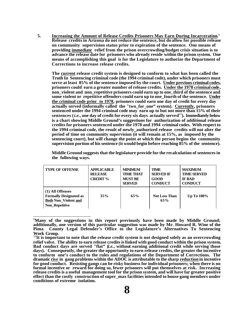5. Increasing the Amount of Release Credits Prisoners May Earn During Incarceration.<sup>9</sup> **Release credits in Arizona do not reduce the sentence, but do allow for possible release on community supervision status prior to expiration of the sentence. One means of providing immediate relief from the prison overcrowding/budget crisis situation is to advance the release date for prisoners who already reside within the prison system. One means of accomplishing this goal is for the Legislature to authorize the Department of Corrections to increase release credits.** 

**The current release credit system is designed to conform to what has been called the Truth In Sentencing criminal code (the 1994 criminal code), under which prisoners must serve at least 85% of the sentence imposed by the court. Under previous criminal codes, prisoners could earn a greater number of release credits. Under the 1978 criminal code, non\_violent and non\_repetitive prisoners could earn up to one\_third of the sentence and some violent or repetitive offenders could earn up to one\_fourth of the sentence. Under the criminal code prior to 1978, prisoners could earn one day of credit for every day actually served (informally called the "two\_for\_one" system). Currently, prisoners sentenced under the 1994 criminal code may earn up to but not more than 15% of their sentences (***i.e.***, one day of credit for every six days actually served** <sup>10</sup>**). Immediately below is a chart showing Middle Ground's suggestions for authorization of additional release credits for prisoners sentenced under the 1978 and 1994 criminal codes. With respect to the 1994 criminal code, the result of newly\_authorized release credits will not alter the period of time on community supervision (it will remain at 15%, as imposed by the sentencing court), but will change the point at which the person begins the community supervision portion of his sentence (it would begin before reaching 85% of the sentence).**

**Middle Ground suggests that the legislature provide for the recalculation of sentences in the following ways.**

| <b>TYPE OF OFFENSE</b>                                                                             | <b>APPLICABLE</b><br><b>RELEASE</b><br><b>CREDIT %</b> | <b>MINIMI M</b><br><b>TIME THAT</b><br><b>MUST BE</b><br><b>SERVED</b> | TIME<br><b>SERVED IF</b><br>GOOD<br><b>CONDUCT</b> | <b>MAXIMUM</b><br><b>TIME SERVED</b><br><b>IF BAD</b><br><b>CONDUCT</b> |
|----------------------------------------------------------------------------------------------------|--------------------------------------------------------|------------------------------------------------------------------------|----------------------------------------------------|-------------------------------------------------------------------------|
| (1) All Offenses<br><b>Formally Designated as</b><br><b>Both Non Violent and</b><br>Non_Repetitive | 35%                                                    | 65%                                                                    | <b>Not Less Than</b><br>65%                        | <b>Up To 100%</b>                                                       |

l <sup>9</sup>**Many of the suggestions in this report previously have been made by Middle Ground; additionally, one version of this particular suggestion was made by Mr. Howard R. Wine of the Pima County Legal Defender's Office to the Legislature's Alternatives To Sentencing Work Group.**

<sup>&</sup>lt;sup>10</sup>It is important to note that the release credit system is not designed solely as an overcrowding **relief valve. The ability to earn release credits is linked with good conduct within the prison system. Bad conduct days are served "flat" (***i.e.***, without earning additional credit while serving those days). Consequently, the greater the opportunity to earn release credits, the greater the incentive to conform one's conduct to the rules and regulations of the Department of Corrections. The dramatic rise in gang problems within the ADOC is attributable to the sharp reduction in incentive for good conduct. Resisting gangs can be risky business for individual prisoners; when there is no formal incentive or reward for doing so, fewer prisoners will put themselves at risk. Increasing release credits is a useful management tool for the prison system, and will have far greater positive effect than the costly construction of super\_max facilities intended to house gang members under conditions of extreme isolation.**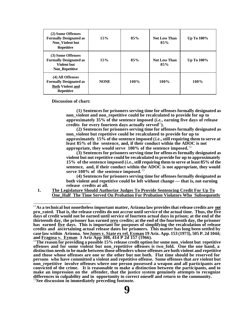| (2) Some Offenses<br><b>Formally Designated as</b><br>Non_Violent but<br><b>Repetitive</b>        | 15%         | 85%  | <b>Not Less Than</b><br>85% | <b>Up To 100%</b> |
|---------------------------------------------------------------------------------------------------|-------------|------|-----------------------------|-------------------|
| (3) Some Offenses<br><b>Formally Designated as</b><br><b>Violent but</b><br>Non_Repetitive        | 15%         | 85%  | <b>Not Less Than</b><br>85% | <b>Up To 100%</b> |
| (4) All Offenses<br><b>Formally Designated as</b><br><b>Both Violent and</b><br><b>Repetitive</b> | <b>NONE</b> | 100% | 100%                        | 100%              |

**Discussion of chart:**

l

**(1) Sentences for prisoners serving time for offenses formally designated as non\_violent and non\_repetitive could be recalculated to provide for up to approximately 35% of the sentence imposed (***i.e.***, earning five days of release**  credits for every fourteen days actually served<sup>11</sup>.

**(2) Sentences for prisoners serving time for offenses formally designated as non\_violent but repetitive could be recalculated to provide for up to approximately 15% of the sentence imposed (***i.e.***, still requiring them to serve at least 85% of the sentence, and, if their conduct within the ADOC is not appropriate, they would serve 100% of the sentence imposed.** <sup>12</sup>

**(3) Sentences for prisoners serving time for offens es formally designated as violent but not repetitive could be recalculated to provide for up to approximately 15% of the sentence imposed (***i.e.***, still requiring them to serve at least 85% of the sentence, and, if their conduct within the ADOC is not appropriate, they would**  serve 100% of the sentence imposed.<sup>13</sup>

**(4) Sentences for prisoners serving time for offenses formally designated as both violent and repetitive could be left without change — that is, not earning release credits at all.**

**1. The Legislature Should Authorize Judges To Provide Sentencing Credit For Up To One\_Half The Time Served On Probation For Probation Violators Who Subsequently** 

<sup>11</sup>**As a technical but nonetheless important matter, Arizona law provides that release credits are not pro\_rated. That is, the release credits do not accrue until service of the actual time. Thus, the five days of credit would not be earned until service of fourteen actual days in prison; at the end of the thirteenth day, the prisoner has earned zero credits; at the end of the fourteenth day, the prisoner has earned five days. This is important for purposes of simplifying the recalculation of release credits and ascertaining actual release dates for prisoners. This matter has long been settled by case law within Arizona. See Jones v. State ex rel. Eyman 19 Ariz. App. 153 (1973), 505 P. 2d 1044; and Fragosa v. Eyman 3 Ariz App 308, 414 P 2d 157 (1966).**

<sup>&</sup>lt;sup>12</sup>The reason for providing a possible 15% release credit option for some non\_violent but repetitive offenses and for some violent but non repetitive offenses is two fold. One the one hand, a **distinction needs to be made between those offenders whose offenses are both violent and repetitive and those whose offenses are one or the other but not both. Flat time should be reserved for persons who have committed a violent and repetitive offense. Some offenses that are violent but non\_repetitive involve offenses where one person possessed a weapon and all participants are convicted of the crime. It is reasonable to make a distinction between the participants, and to make an impression on the offender, that the justice system genuinely attempts to recognize differences in culpability and in opportunity to correct oneself and return to the community.** 13**See discussion in immediately preceding footnote.**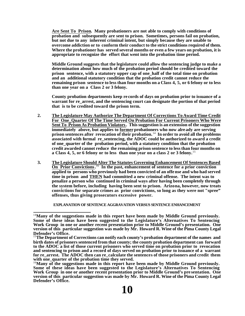**Are Sent To Prison. Many probationers are not able to comply with conditions of probation and subsequently are sent to prison. Sometimes, persons fail on probation, but not due to any inherent criminal intent, but simply because they are unable to overcome addiction or to conform their conduct to the strict conditions required of them. Where the probationer has served several months or even a few years on probation, it is appropriate to recognize the effort that went into the probation time period.**

**Middle Ground suggests that the legislature could allow the sentencing judge to make a determination about how much of the probation period should be credited toward the prison sentence, with a statutory upper cap of one\_half of the total time on probation and an additional statutory condition that the probation credit cannot reduce the remaining prison sentence to less than four months on a Class 4, 5, or 6 felony or to less than one year on a Class 2 or 3 felony.**

**County probation departments keep re cords of days on probation prior to issuance of a warrant for re\_arrest, and the sentencing court can designate the portion of that period that is to be credited toward the prison term.**

- **2. The Legislature May Authorize The Department Of Corrections To Award Time Credit For One\_Quarter Of The Time Served On Probation For Current Prisoners Who Were Sent To Prison As Probation Violators. This suggestion is an extension of the suggestion immediately above, but applies to former probationers who now already are serving prison sentences after revocation of their probation.**<sup>14</sup> **In order to avoid all the problems associated with formal re\_sentencing, the ADOC could be authorized to award a credit of one\_quarter of the probation period, with a statutory condition that the probation credit awarded cannot reduce the remaining prison sentence to less than four months on a Class 4, 5, or 6 felony or to less than one year on a class 2 or 3 felony.**<sup>15</sup>
- **3. The Legislature Should Alter The Statutes Governing Enhancement Of Sentences Based On Prior Convictions.** <sup>16</sup> **In the past, enhancement of sentence for a prior conviction applied to persons who previously had been convicted of an offense and who had served time in prison and THEN had committed a new criminal offense. The intent was to penalize a person who continued in criminal ways after having been completely through the system before, including having been sent to prison. Arizona, however, now treats convictions for separate crimes as prior convictions, so long as they were not "spree" offenses, thus giving prosecutors excessive power.**

**EXPLANATION OF SENTENCE AGGRAVATION VERSUS SENTENCE ENHANCEMENT**

l <sup>14</sup>Many of the suggestions made in this report have been made by Middle Ground previously. **Some of these ideas have been suggested to the Legislature's Alternatives To Sentencing Work Group in one or another recent presentation prior to Middle Ground's presentation. One version of this particular suggestion was made by Mr. Howard R. Wine of the Pima County Legal Defender's Office.**

<sup>&</sup>lt;sup>15</sup> The Department of Corrections can notify each county's probation department of the names and **birth dates of prisoners sentenced from that county; the county probation department can forward to the ADOC a list of those current prisoners who served time on probation prior to revocation and sentencing to prison and a record of days served on probation prior to issuance of a warrant**  for re arrest. The ADOC then can re calculate the sentences of those prisoners and credit them **with one\_quarter of the probation time they served.**

<sup>&</sup>lt;sup>16</sup>Many of the suggestions made in this report have been made by Middle Ground previously. **Some of these ideas have been suggested to the Legislature's Alternatives To Sentencing Work Group in one or another recent presentation prior to Middle Ground's pre sentation. One version of this particular suggestion was made by Mr. Howard R. Wine of the Pima County Legal Defender's Office.**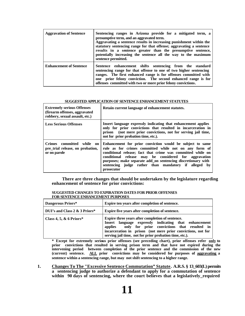| <b>Aggravation of Sentence</b> | Sentencing ranges in Arizona provide for a mitigated term, a<br>presumptive term, and an aggravated term.<br>Aggravating a sentence results in increasing punishment within the<br>statutory sentencing range for that offense; aggravating a sentence<br>results in a sentence greater than the presumptive sentence,<br>potentially increasing the sentence all the way to the maximum<br>sentence permitted. |
|--------------------------------|-----------------------------------------------------------------------------------------------------------------------------------------------------------------------------------------------------------------------------------------------------------------------------------------------------------------------------------------------------------------------------------------------------------------|
| <b>Enhancement of Sentence</b> | Sentence enhancement shifts sentencing from the standard<br>sentencing range for that offense to one of two higher sentencing<br>ranges. The first enhanced range is for offenses committed with<br>one prior felony conviction. The second enhanced range is for<br>offenses committed with two or more prior felony convictions.                                                                              |

#### **SUGGESTED APPLICATION OF SENTENCE ENHANCEMENT STATUTES**

| <b>Extremely serious Offenses</b><br>(firearm offenses, aggravated)<br>robbery, sexual assault, etc.) | Retain current language of enhancement statutes.                                                                                                                                                                                                                                                                                                                                 |
|-------------------------------------------------------------------------------------------------------|----------------------------------------------------------------------------------------------------------------------------------------------------------------------------------------------------------------------------------------------------------------------------------------------------------------------------------------------------------------------------------|
| <b>Less Serious Offenses</b>                                                                          | Insert language expressly indicating that enhancement applies<br>only for prior convictions that resulted in incarceration in<br>prison (not mere prior convictions, not for serving jail time,<br>not for prior probation time, etc.).                                                                                                                                          |
| Crimes committed while on<br>pre trial release, on probation,<br>or on parole                         | Enhancement for prior conviction would be subject to same<br>rule as for crimes committed while not on any form of<br>conditional release; fact that crime was committed while on<br>conditional release may be considered for aggravation<br>purposes; make separate add_on sentencing discretionary with<br>sentencing judge rather than mandatory if alleged by<br>prosecutor |

**There are three changes that should be undertaken by the legislature regarding enhancement of sentence for prior convictions:**

| Dangerous Priors*             | Expire ten years after completion of sentence.                                                                                                                                                                                                                                                 |  |  |
|-------------------------------|------------------------------------------------------------------------------------------------------------------------------------------------------------------------------------------------------------------------------------------------------------------------------------------------|--|--|
| DUI's and Class 2 & 3 Priors* | Expire five years after completion of sentence.                                                                                                                                                                                                                                                |  |  |
| Class 4, 5, $\&$ 6 Priors*    | Expire three years after completion of sentence.<br>Insert language expressly indicating that enhancement<br>only for prior convictions that resulted in<br>applies<br>incarceration in prison (not mere prior convictions, not for<br>serving jail time, not for prior probation time, etc.). |  |  |

#### **SUGGESTED CHANGES TO EXPIRATION DATES FOR PRIOR OFFENSES FOR SENTENCE ENHANCEMENT PURPOSES**

**\* Except for extremely serious prior offenses (see preceding chart), prior offenses refer only to prior convictions that resulted in serving prison term and that have not expired during the intervening period between completion of the prior sentence and the commission of the new (current) sentence. ALL prior convictions may be considered for purposes of aggravating a sentence within a sentencing range, but may not shift sentencing to a higher range.**

**1. Changes To The "Excessive Sentence Commutation" Statute. A.R.S. § 13\_603(L) permits a sentencing judge to authorize a defendant to apply for a commutation of sentence within 90 days of sentencing, where the court believes that a legislatively\_required**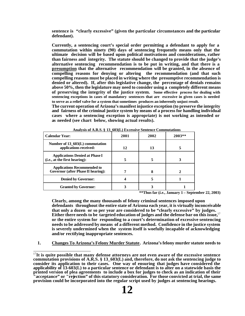**sentence is "clearly excessive" (given the particular circumstances and the particular defendant).**

**Currently, a sentencing court's special order permitting a defendant to apply for a commutation within ninety (90) days of sentencing frequently means only that the ultimate decision will be based upon political motivations and considerations, rather than fairness and integrity. The statute should be changed to provide that the judge's alternative sentencing recommendation is to be put in writing, and that there is a presumption that the alternative recommendation will be granted, in the absence of compelling reasons for denying or altering the recommendation (and that such compelling reasons must be placed in writing where the presumptive recommendation is denied or altered). If, after this legislative change, the percentage of denials remains above 50%, then the legislature may need to consider using a completely different means of preserving the integrity of the justice system. Some effective process for dealing with sentencing exceptions in cases of mandatory sentences that are excessive in given cases is needed to serve as a relief valve for a system that sometimes produces an inherently unjust result.**

**The current operation of Arizona's manifest injustice exception (to preserve the integrity and fairness of the criminal justice system by means of a process for handling individual cases where a sentencing exception is appropriate) is not working as intended or as needed (see chart below, showing actual results).**

| <b>Calendar Year:</b>                                                           | 2001 | 2002 | $2003**$ |
|---------------------------------------------------------------------------------|------|------|----------|
| Number of $13\,603(L)$ commutation<br>applications received:                    | 12   | 13   |          |
| <b>Applications Denied at Phase I</b><br>(i.e., at the first hearing):          | 5    | 5    |          |
| <b>Applications Recommended to</b><br><b>Governor (after Phase II hearing):</b> | 7    | 8    |          |
| <b>Denied by Governor:</b>                                                      |      |      |          |
| <b>Granted by Governor:</b>                                                     |      |      |          |

**Analysis of A.R.S. § 13\_603(L) Excessive Sentence Commutations**

**\*\*Thus far (***i.e.***, January 1 – September 22, 2003)** 

**Clearly, among the many thousands of felony criminal sentences imposed upon defendants throughout the entire state of Arizona each year, it is virtually inconceivable that only a dozen or so per year are considered to be "clearly excessive" by judges. Either there needs to be targeted education of judges and the defense bar on this issue,**<sup>17</sup> **or the entire system for responding to a court's determination of excessive sentencing needs to be addressed by means of a different method. Confidence in the justice system is severely undermined when the system itself is woefully incapable of acknowledging and/or rectifying inappropriate sentences.**

**1. Changes To Arizona's Felony Murder Statute. Arizona's felony murder statute needs to** 

l <sup>17</sup>It is quite possible that many defense attorneys are not even aware of the excessive sentence **commutation provisions of A.R.S. § 13\_603(L) and, therefore, do not ask the sentencing judge to consider its application to their cases. One way of ensuring that judges have considered the applicability of 13-603(L) to a particular sentence or defendant is to alter on a statewide basis the printed version of plea agreements to include a box for judges to check as an indication of their "acceptance" or "rejection" of this statutory consideration. For those convicted at trial, the same provision could be incorporated into the regular script used by judges at sentencing hearings.**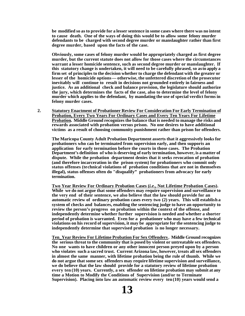**be modified so as to provide for a lesser sentence in some cases where there was no intent to cause death. One of the ways of doing this would be to allow some felony murder defendants to be charged with second degree murder or manslaughter rather than first degree murder, based upon the facts of the case.**

**Obviously, some cases of felony murder would be appropriately charged as first degree murder, but the current statute does not allow for those cases where the circumstances warrant a lesser homicide sentence, such as second degree murder or manslaughter. If this statutory change is undertaken, it will need to be carefully phrased, so as to apply a firm set of principles to the decision whether to charge the defendant with the greater or lesser of the homicide options — otherwise, the unfettered discretion of the prosecutor inevitably will continue to result in decisions not grounded entirely in fairness and justice. As an additional check and balance provision, the legislature should authorize the jury, which determines the facts of the case, also to determine the level of felony murder which applies to the defendant, by mandating the use of special verdict forms in felony murder cases.**

**2. Statutory Enactment of Probationer Review For Consideration For Early Termination of Probation, Every Two Years For Ordinary Cases and Every Ten Years For Lifetime Probation. Middle Ground recognizes the balance that is needed to manage the risks and rewards associated with probation versus prison. No one desires to have additional victims as a result of choosing community punishment rather than prison for offenders.**

**The Maricopa County Adult Probation Department asserts that it aggressively looks for probationers who can be terminated from supervision early, and then supports an application for early termination before the courts in those cases. The Probation Department's definition of who is deserving of early termination, however, is a matter of dispute. While the probation department denies that it seeks revocation of probation (and therefore incarceration in the prison system) for probationers who commit only status offenses (technical violations of probation conditions that are not in themselves illegal), status offenses often do "disqualify" probationers from advocacy for early termination.**

**Two Year Review For Ordinary Probation Cases (***i.e.***, Not Lifetime Probation Cases). While we do not argue that some offenders may require supervision and surveillance to the very end of their sentence, we also believe that the law should provide for an automatic review of ordinary probation cases every two (2) years. This will establish a system of checks and balances, enabling the sentencing judge to have an opportunity to review the person's progress on probation within the context of the offense, and independently determine whether further supervision is needed and whether a shorter period of probation is warranted. Even for a probationer who may have a few technical violations on his record of supervision, it may be appropriate for the sentencing judge to independently determine that supervised probation is no longer necessary.** 

**Ten\_Year Review For Lifetime Probation For Sex Offenders. Middle Ground recognizes the serious threat to the community that is posed by violent or untreatable sex offenders. No one wants to have children or any other innocent person preyed upon by a person who violates such a sacred trust. Current Arizona law, however, treats all sex offenders in almost the same manner, with lifetime probation being the rule of thumb. While we do not argue that some sex offenders may require lifetime supervision and surveillance, we do believe that the law should provide for a statutory review of lifetime probation every ten (10) years. Currently, a sex offender on lifetime probation may submit at any time a Motion to Modify the Conditions of Supervision (and/or to Terminate Supervision). Placing into law an automatic review every ten(10) years would send a**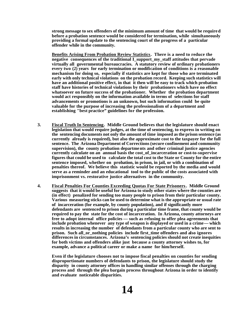**strong message to sex offenders of the minimum amount of time that would be required before a probation sentence would be considered for termination, while simultaneously providing a formal update to the sentencing court of the progress of a particular offender while in the community.**

**Benefits Arising From Probation Review Statistics. There is a need to reduce the negative consequences of the traditional I\_support\_my\_staff attitudes that pervade virtually all governmental bureaucracies. A statutory review of ordinary probationers every two (2) years for early termination or modification of conditions is a reasonable mechanism for doing so, especially if statistics are kept for those who are terminated early with only technical violations on the probation record. Keeping such statistics will have an additional positive effect, in that it then will be easy to track which probation staff have histories of technical violations by their probationers which have no effect whatsoever on future success of the probationer. Whether the probation department would act responsibly on the information available in terms of selections for staff advancements or promotions is an unknown, but such information could be quite valuable for the purpose of increasing the professionalism of a department and establishing "best practice" guidelines for the profession.**

- **3. Fiscal Truth In Sentencing. Middle Ground believes that the legislature should enact legislation that would require judges, at the time of sentencing, to express in writing on the sentencing documents not only the amount of time imposed as the prison sentence (as currently already is required), but also the approximate cost to the taxpayer for the full sentence. The Arizona Department of Corrections (secure confinement and community supervision), the county probation departments and other criminal justice agencies currently calculate on an annual basis the cost\_of\_incarceration or cost-to-supervise figures that could be used to calculate the total cost to the State or County for the entire sentence imposed, whether on probation, in prison, in jail, or with a combination of penalties thereof. We believe this statistic would be reported by the media and would serve as a reminder and an educational tool to the public of the costs associated with imprisonment vs. restorative justice alternatives in the community.**
- **4. Fiscal Penalties For Counties Exceeding Quotas For State Prisoners. Middle Ground suggests that it would be useful for Arizona to study other states where the counties are (in effect) penalized for sending too many people to prison from their particular county. Various measuring sticks can be used to determine what is the appropriate or usual rate of incarceration (for example, by county population), and if significantly more defendants are sentenced to prison during a particular time frame, that county would be required to pay the state for the cost of incarceration. In Arizona, county attorneys are free to adopt internal office policies — such as refusing to offer plea agreements that include probation whenever any type of weapon is displayed or used in a crime — which results in increasing the number of defendants from a particular county who are sent to prison. Such all\_or\_nothing policies include first\_time offenders and also ignores differences in circumstances. Arizona's sentencing policies should not create inequities for both victims and offenders alike just because a county attorney wishes to, for example, advance a political career or make a name for him/herself.**

**Even if the legislature chooses not to impose fiscal penalties on counties for sending disproportionate numbers of defendants to prison, the legislature should study the disparity in county attorney offices in handling similar offenses through the charging process and through the plea bargain process throughout Arizona in order to identify and evaluate noticeable disparities.**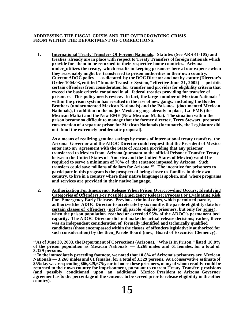#### **ADDRESSING THE FISCAL CRISIS AND THE OVERCROWDING CRISIS FROM WITHIN THE DEPARTMENT OF CORRECTIONS:**

**1. International Treaty Transfers Of Foreign Nationals. Statutes (See ARS 41-105) and treaties already are in place with respect to Treaty Transfers of foreign nationals which provide for them to be returned to their respective home countries. Arizona under\_utilizes the treaty, which results in keeping prisoners here at our expense when they reasonably might be transferred to prison authorities in their own country. Current ADOC policy — as dictated by the DOC Director and not by statute (Director's Order 1004.03, entitled "Inmate Transfer System," effective June 21, 2002) — prohibits certain offenders from consideration for transfer and provides for eligibility criteria that exceed the basic criteria contained in all federal treaties providing for transfer of prisoners. This policy needs review. In fact, the large number of Mexican Nationals**<sup>18</sup> **within the prison system has resulted in the rise of new gangs, including the Border Brothers (undocumented Mexican Nationals) and the Paisanos (documented Mexican Nationals), in addition to the major Mexican gangs already in place, La EME (the Mexican Mafia) and the New EME (New Mexican Mafia). The situation within the prison became so difficult to manage that the former director, Terry Stewart, proposed construction of a separate prison for Mexican Nationals (fortunately, the Legislature did not fund the extremely problematic proposal).**

**As a means of realizing genuine savings by means of international treaty transfers, the Arizona Governor and the ADOC Director could request that the President of Mexico enter into an agreement with the State of Arizona providing that any prisoner transferred to Mexico from Arizona (pursuant to the official Prisoner Transfer Treaty between the United States of America and the United States of Mexico) would be required to serve a minimum of 70% of the sentence imposed by Arizona. Such transfers could save millions of dollars for Arizona.**<sup>19</sup> **The incentive for prisoners to participate in this program is the prospect of being closer to families in their own country, to live in a country where their native language is spoken, and where programs and services are provided in their native language.**

**2. Authorization For Emergency Release When Prison Overcrowding Occurs; Identifying Categories of Offenders For Possible Emergency Release; Process For Evaluating Risk For Emergency Early Release. Previous criminal codes, which permitted parole, authorized the ADOC Director to accelerate by six months the parole eligibility date for certain classes of offenders (not for all parole\_eligible prisoners, but only for some ), when the prison population reached or exceeded 95% of the ADOC's permanent bed capacity. The ADOC Director did not make the actual release decisions; rather, there was an independent consideration of formally identified and technically qualified candidates (those encompassed within the classes of offenders legislatively authorized for such consideration) by the then\_Parole Board (now, Board of Executive Clemency).**

<sup>18</sup>**As of June 30, 2003, the Department of Corrections (Arizona), "Who Is In Prison," listed 10.8% of the prison population as Mexican Nationals — 3,268 males and 61 females, for a total of 3,329 persons.**

<sup>19</sup> **In the immediately preceding footnote, we noted that 10.8% of Arizona's prisoners are Mexican Nationals — 3,268 males and 61 females, for a total of 3,329 persons. At a conservative estimate of \$55/day we are spending \$66,829,675/year to house these prisoners, many of whom readily could be**  returned to their own country for imprisonment, pursuant to current Treaty Transfer provisions **(and possibly conditioned upon an additional Mexico\_President\_to\_Arizona\_Governor agreement as to the percentage of the sentence to be served prior to release eligibility in the other country).**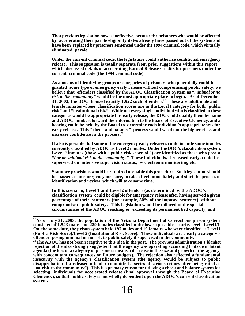**That previous legislation now is ineffective, because the prisoners who would be affected by accelerating their parole eligibility dates already have passed out of the system and have been replaced by prisoners sentenced under the 1994 criminal code, which virtually eliminated parole.**

**Under the current criminal code, the legislature could authorize conditional emergency release. This suggestion is totally separate from prior suggestions within this report which discussed details of accelerating Earned Release Credits for prisoners under the current criminal code (the 1994 criminal code).**

**As a means of identifying groups or categories of prisoners who potentially could be granted some type of emergency early release without compromising public safety, we believe that offenders classified by the ADOC Classification System as "***minimal or no risk to the community***" would be the most appropriate place to begin. As of December 31, 2002, the DOC housed exactly 1,922 such offenders.**<sup>20</sup> **These are adult male and female inmates whose classification scores are in the Level 1 category for both "public risk" and "institutional risk." While not every single individual who is classified in these categories would be appropriate for early release, the DOC could qualify them by name and ADOC number, forward the information to the Board of Executive Clemency, and a hearing could be held by the Board to determine each individual's appropriateness for early release. This "check and balance" process would weed out the higher risks and increase confidence in the process.**<sup>21</sup>

**It also is possible that some of the emergency early releasees could include some inmates currently classified by ADOC as Level 2 inmates. Under the DOC's classification system, Level 2 inmates (those with a public risk score of 2) are identified as those who pose a "***low or minimal risk to the community***." These individuals, if released early, could be supervised on intensive supervision status, by electronic monitoring, etc.**

**Statutory provisions would be required to enable this procedure. Such legislation should be passed as an emergency measure, to take effect immediately and start the process of identification and review, which will take some time.**

**In this scenario, Level 1 and Level 2 offenders (as de termined by the ADOC's classification system) could be eligible for emergency release after having served a given percentage of their sentences (for example, 50% of the imposed sentence), without compromise to public safety. This legislation would be tailored to the special circumstances of the ADOC reaching or exceeding its permanent bed capacity, and** 

<sup>20</sup>**As of July 31, 2003, the population of the Arizona Department of Corrections prison system consisted of 1,543 males and 289 females classified at the lowest possible security level – Level1/1. On the same date, the prison system held 197 males and 19 females who were classified as Level1 (Public Risk Score)/Level 2 (Institutional Risk Score). These individuals are clearly a category of offender posing minimal or no risk to public safety if supervised in the community.**

<sup>21</sup>**The ADOC has not been receptive to this idea in the past. The previous administration's blanket rejection of the idea strongly suggested that the agency was operating according to its own latent agenda (the loss of a category of prisoners means a decrease in the size and growth of the agency,**  with concomitant consequences on future budgets). The rejection also reflected a fundamental **insecurity with the agency's classification system (the agency would be subject to public disapprobation if a released offender committed a series of serious crimes after being rated as "no risk to the community"). This is a primary reason for utilizing a check and balance system for selecting individuals for accelerated release (final approval through the Board of Executive Clemency), so that public safety is not wholly dependent upon the ADOC's current classification system.**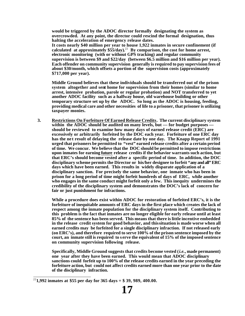**would be triggered by the ADOC director formally designating the system as overcrowded. At any point, the director could rescind the formal designation, thus halting the acceleration of emergency release dates.**

**It costs nearly \$40 million per year to house 1,922 inmates in secure confinement (if calculated at approximately \$55/day).**<sup>22</sup> **By comparison, the cost for home arrest, electronic monitoring (with or without GPS tracking) and regular community supervision is between \$9 and \$22/day (between \$6.5 million and \$16 million per year). Each offender on community supervision generally is required to pay supervision fees of about \$30/month, which offsets a portion of the supervision costs (approximately \$717,000 per year).**

**Middle Ground believes that these individuals should be transferred out of the prison system altogether and sent home for supervision from their homes (similar to home arrest, intensive probation, parole or regular probation) and NOT transferred to yet another ADOC facility such as a halfway house, old warehouse building or other temporary structure set up by the ADOC. So long as the ADOC is housing, feeding, providing medical care and other necessities of life to a prisoner, that prisoner is utilizing taxpayer monies.**

**3. Restrictions On Forfeiture Of Earned Release Credits. The current disciplinary system within the ADOC should be audited on many levels, but — for budget purposes should be reviewed to examine how many days of earned release credit (ERC) are excessively or arbitrarily forfeited by the DOC each year. Forfeiture of one ERC day has the ne t result of delaying the release date by one day. The Knapp Report of 1991 urged that prisoners be permitted to "vest" earned release credits after a certain period of time. We concur. We believe that the DOC should be permitted to impose restrictions upon inmates for earning future release credits if the behavior warrants such action, but that ERC's should become vested after a specific period of time. In addition, the DOC disciplinary scheme permits the Director or his/her designee to forfeit "any and all" ERC days which have been earned. This results in widely disparate application of a disciplinary sanction. For precisely the same behavior, one inmate who has been in prison for a long period of time might forfeit hundreds of days of ERC, while another who engages in the same conduct might forfeit only a few. This inequity undermines the credibility of the disciplinary system and demonstrates the DOC's lack of concern for fair or just punishment for infractions.**

**While a procedure does exist within ADOC for restoration of forfeited ERC's, it is the forfeiture of inequitable amounts of ERC days in the first place which creates the lack of respect among the inmate population for the disciplinary system itself. Contributing to this problem is the fact that inmates are no longer eligible for early release until at least 85% of the sentence has been served. This means that there is little incentive embedded in the release credit system for good behavior, and this situation is made worse when all earned credits may be forfeited for a single disciplinary infraction. If not released early (on ERC's), and therefore required to serve 100% of the prison sentence imposed by the court, an inmate still is required to s erve the equivalent of 15% of the imposed sentence on community supervision following release.**

**Specifically, Middle Ground suggests that credits become vested (***i.e.***, made permanent) one year after they have been earned. This would mean that ADOC disciplinary sanctions could forfeit up to 100% of the release credits earned in the year preceding the forfeiture action, but could not affect credits earned more than one year prior to the date of the disciplinary infraction.**

l <sup>22</sup>**1,992 inmates at \$55 per day for 365 days = \$ 39, 989, 400.00.**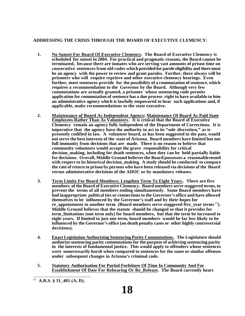## **ADDRESSING THE CRISIS THROUGH THE BOARD OF EXECUTIVE CLEMENCY:**

- **1. No Sunset For Board Of Executive Clemency. The Board of Executive Clemency is scheduled for sunset in 2004. For practical and pragmatic reasons, the Board cannot be terminated, because there are inmates who are serving vast amounts of prison time on consecutive sentences from old codes which provided for parole eligibility and there must be an agency with the power to review and grant paroles. Further, there always will be prisoners who will require reprieve and other executive clemency hearings. Even further, most sentences provide for the possibility of a commutation of sentence, which requires a recommendation to the Governor by the Board. Although very few commutations are actually granted, a prisoner whose sentencing code permits application for commutation of sentence has a due process right to have available to him an administrative agency which is lawfully empowered to hear such applications and, if applicable, make recommendations to the state executive.**
- **2. Maintenance of Board As Independent Agency; Maintenance Of Board As Paid State Employees Rather Than As Volunteers. It is critical that the Board of Executive Clemency remain an agency fully independent of the Department of Corrections. It is imperative that the agency have the authority to act in its "sole discretion," as is presently codified in law. A volunteer board, as has been suggested in the past, would not serve the best interests of the state of Arizona. Board members have limited but not full immunity from decisions that are made. There is no reason to believe that community volunteers would accept the grave responsibility for critical decision\_making, including for death sentences, when they can be held partially liable for decisions. Overall, Middle Ground believes the Board possesses a reasonable record with respect to its historical decision\_making. A study should be conducted to compare the rate of return to prison by persons who have been released via decisions of the Board versus administrative decisions of the ADOC or by mandatory releases.**
- **3. Term Limits For Board Members; Lengthen Term To Eight Years. There are five members of the Board of Executive Clemency. Board members serve staggered terms, to prevent the terms of all members ending simultaneously. Some Board members have had inappropriate political ties or connections to the Governor's office and have allowed themselves to be influenced by the Governor's staff and by their hopes for re** appointment to another term (Board members serve staggered five year terms<sup>23</sup>). **Middle Ground believes that the statute should be changed so that it provides for term\_limitations (one term only) for board members, but that the term be increased to eight years. If limited to just one term, board members would be far less likely to be influenced by the Governor's office (on death penalty cases or other highly controversial decisions).**
- **4. Enact Legislation Authorizing Sentencing Parity Commutations. The Legislature should authorize sentencing parity commutations for the purpose of achieving sentencing parity in the interests of fundamental justice. This would apply to offenders whose sentences were unnecessarily harsh when compared to sentences for the same or similar offenses under subsequent changes in Arizona's criminal code.**
- **5. Statutory Authorization For Partial Forfeiture Of Time In Community And For Establishment Of Date For Rehearing Or Re\_Release. The Board currently hears**

l <sup>23</sup> **A.R.S. § 31\_401 (A, D).**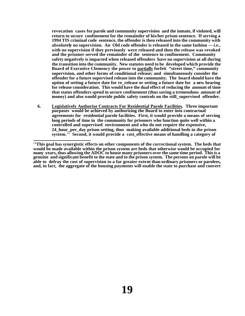**revocation cases for parole and community supervision and the inmate, if violated, will return to secure confinement for the remainder of his/her prison sentence. If serving a 1994 TIS criminal code sentence, the offender is then released into the community with absolutely no supervision. An Old code offender is released in the same fashion**  $-i.e.,$ **with no supervision if they previously were released and then the release was revoked and the prisoner served the remainder of the sentence in confinement. Community safety negatively is impacted when released offenders have no supervision at all during the transition into the community. New statutes need to be developed which provide the Board of Executive Clemency the power to partially forfeit "street time," community supervision, and other forms of conditional release; and simultaneously consider the offender for a future supervised release into the community. The board should have the option of setting a future date for re\_release or setting a future date for a new hearing for release consideration. This would have the dual effect of reducing the amount of time that status offenders spend in secure confinement (thus saving a tremendous amount of money) and also would provide public safety controls on the still\_supervised offender.**

**6. Legislatively Authorize Contracts For Residential Parole Facilities. Three important purposes would be achieved by authorizing the Board to enter into contractual agreements for residential parole facilities. First, it would provide a means of serving long periods of time in the community for prisoners who function quite well within a controlled and supervised environment and who do not require the expensive, 24\_hour\_per\_day prison setting, thus making available additional beds in the prison system.** <sup>24</sup> **Second, it would provide a cost\_effective means of handling a category of** 

l <sup>24</sup>This goal has synergistic effects on other components of the correctional system. The beds that **would be made available within the prison system are beds that otherwise would be occupied for many years, thus allowing the ADOC to house many prisoners over the same time period. This is a genuine and significant benefit to the state and to the prison system. The persons on parole will be able to defray the cost of supervision to a far greater extent than ordinary prisoners or parolees, and, in fact, the aggregate of the housing payments will enable the state to purchase and convert**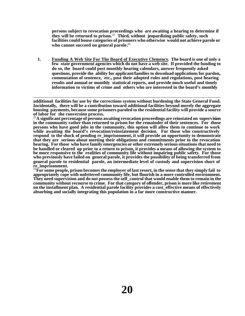**persons subject to revocation proceedings who are awaiting a hearing to determine if they will be returned to prison.**<sup>25</sup> **Third, without jeopardizing public safety, such facilities could house categories of prisoners who otherwise would not achieve parole or who cannot succeed on general parole.**<sup>26</sup>

**1. Funding A Web Site For The Board of Executive Clemency. The board is one of only a few state government agencies which do not have a web site. If provided the funding to do so, the board could post monthly hearing calendars, answer frequently asked questions, provide the ability for applicant/families to download applications for pardon, commutation of sentence, etc., post their adopted rules and regulations, post hearing results and annual or monthly statistical reports, and provide much useful and timely information to victims of crime and others who are interested in the board's monthly** 

<sup>26</sup>**For some people, prison becomes the employer of last resort, in the sense that they simply fail to appropriately cope with unfettered community life, but flourish in a more controlled environment. They need supervision and do not possess the self\_control that would enable them to remain in the community without recourse to crime. For that category of offender, prison is more like retirement on the installment plan. A residential parole facility provides a cost\_effective means of effectively absorbing and socially integrating this population in a far more constructive manner.**

l **additional facilities for use by the corrections system without burdening the State General Fund. Incidentally, there will be a contribution toward additional facilities beyond merely the aggregate housing payments, because some prisoners paroled to the residential facility will provide a source of labor for the conversion process.**

<sup>25</sup>**A significant percentage of persons awaiting revocation proceedings are reinstated on supervision in the community rather than returned to prison for the remainder of their sentences. For those persons who have good jobs in the community, this option will allow them to continue to work while awaiting the board's revocation/reinstatement decision. For those who constructively**  respond to the shock of pending re\_imprisonment, it will provide an opportunity to demonstrate **that they are serious about meeting their obligations and commitments prior to the revocation hearing. For those who have family emergencies or other extremely serious situations that need to be handled or cleared up prior to a return to prison, it provides a means of allowing the system to**  be more responsive to the realities of community life without impairing public safety. For those **who previously have failed on general parole, it provides the possibility of being transferred from general parole to residential parole, an intermediate level of custody and supervision short of re\_imprisonment.**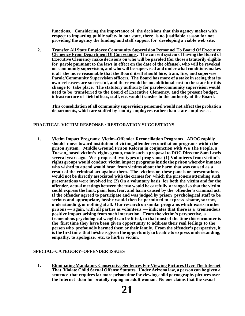**functions. Considering the importance of the decisions that this agency makes with respect to impacting public safety in our state, there is no justifiable reason for not providing the agency the funding and staff support for developing a viable web site.**

**2. Transfer All State Employee Community Supervision Personnel To Board Of Executive Clemency From Department Of Corrections. The current system of having the Board of Executive Clemency make decisions on who will be paroled (for those statutorily eligible for parole pursuant to the laws in effect on the date of the offense), who will be revoked on community supervision, and who will be supervised and under what conditions makes it all the more reasonable that the Board itself should hire, train, fire, and supervise Parole/Community Supervision officers. The Board has more of a stake in seeing that its own releasees are successful, and there would be no additional cost to the state for this change to take place. The statutory authority for parole/community supervision would need to be transferred to the Board of Executive Clemency, and the present budget, infrastructure of field offices, staff, etc. would transfer to the authority of the Board.**

**This consolidation of all community supervision personnel would not affect the probation departments, which are staffed by county employees rather than state employees.**

### **PRACTICAL VICTIM RESPONSE / RESTORATION SUGGESTIONS**

**1. Victim Impact Programs; Victim–Offender Reconciliation Programs. ADOC rapidly should move toward institution of victim\_offender reconciliation programs within the prison system. Middle Ground Prison Reform in conjunction with We The People, a Tucson\_based victim's rights group, made such a proposal to DOC Director Sam Lewis several years ago. We proposed two types of programs: (1) Volunteers from victim's rights groups would conduct victim impact programs inside the prison whereby inmates who wished to attend would hear from victims about the harm that was caused as a result of the criminal act against them. The victims on these panels or presentations would not be directly associated with the crimes for which the prisoners attending such presentations were involved in; (2) On a voluntary basis for both the victim and for the offender, actual meetings between the two would be carefully arranged so that the victim could express the hurt, pain, loss, fear, and harm caused by the offender's criminal act. If the offender agreed to participate and was judged by prison psychological staff to be serious and appropriate, he/she would then be permitted to express shame, sorrow, understanding, or nothing at all. Our research on similar programs which exists in other prisons — again, with all parties as volunteers — indicates that there is a tremendous positive impact arising from such interaction. From the victim's perspective, a tremendous psychological weight can be lifted, in that most of the time this encounter is the first time they have been given opportunity to address their real feelings to the person who profoundly harmed them or their family. From the offender's perspective, it is the first time that he/she is given the opportunity to be able to express understanding, empathy, to apologize, etc. to his/her victim.**

#### **SPECIAL–CATEGORY–OFFENDER ISSUES**

**1. Eliminating Mandatory Consecutive Sentences For Viewing Pictures Over The Internet That Violate Child Sexual Offense Statutes. Under Arizona law, a person can be given a sentence that requires far more prison time for viewing child pornography pictures over the Internet than for brutally raping an adult woman. No one claims that the sexual**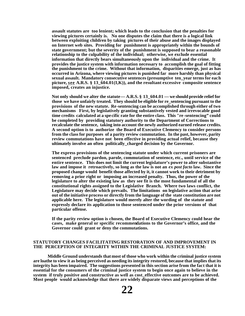**assault statutes are too lenient; which leads to the conclusion that the penalties for viewing pictures certainly is. No one disputes the claim that there is a logical link between exploiting children by taking pictures of their abuse and the images displayed on Internet web sites. Providing for punishment is appropriately within the bounds of state government; but the severity of the punishment is supposed to bear a reasonable relationship to the culpability of the individual; otherwise, we exclude essential information that directly bears simultaneously upon the individual and the crime. It provides the justice system with information necessary to accomplish the goal of fitting the punishment to the crime. Without that information, disparities emerge, just as has occurred in Arizona, where viewing pictures is punished far more harshly than physical sexual assault. Mandatory consecutive sentences (presumptive ten\_year terms for each picture, see A.R.S. § 13\_604.01(I,K)), and the resultant excessive composite sentence imposed, creates an injustice.**

**Not only should we alter the statute — A.R.S. § 13\_604.01 — we should provide relief for those we have unfairly treated. They should be eligible for re\_sentencing pursuant to the provisions of the new statute. Re-sentencing can be accomplished through either of two mechanisms First, by legislatively granting substantively vested and irrevocable good time credits calculated at a spe cific rate for the entire class. This "re -sentencing" could be completed by providing statutory authority to the Department of Corrections to recalculate the sentence, taking into account the newly authorized earned release credits. A second option is to authorize the Board of Executive Clemency to consider persons from the class for purposes of a parity review commutation. In the past, however, parity review commutations have not been effective in providing actual relief, because they ultimately involve an often politically\_charged decision by the Governor.**

**The express provisions of the sentencing statute under which current prisoners are sentenced preclude pardon, parole, commutation of sentence, etc., until service of the entire sentence. This does not limit the current legislature's power to alter substantive law and impose it retroactively, so long as the law is not an** *ex post facto* **law. Since the proposed change would benefit those affected by it, it cannot work to their detriment by removing a prior right or imposing an increased penalty. Thus, the power of the legislature to alter the existing law as they see fit is the most fundamental of all the constitutional rights assigned to the Legislative Branch. Where two laws conflict, the Legislature may decide which prevails. The limitations on legislative action that arise out of the initiative process or directly from the language of the state constitution are not applicable here. The legislature would merely alter the wording of the statute and expressly declare its application to those sentenced under the prior versions of that particular offense.** 

**If the parity review option is chosen, the Board of Executive Clemency could hear the cases, make general or specific recommendations to the Governor's office, and the Governor could grant or deny the commutations.** 

#### **STATUTORY CHANGES FACILITATING RESTORATION OF AND IMPROVEMENT IN THE PERCEPTION OF INTEGRITY WITHIN THE CRIMINAL JUSTICE SYSTEM:**

**Middle Ground understands that most of those who work within the criminal justice system are loathe to view it as being perceived as needing its integrity restored, because that implies that its integrity has been impaired. The suggestions presented in this section arise from the fact that it is essential for the consumers of the criminal justice system to begin once again to believe in the system if truly positive and constructive as well as cost\_effective outcomes are to be achieved. Most people would acknowledge that there are widely disparate views and perceptions of the**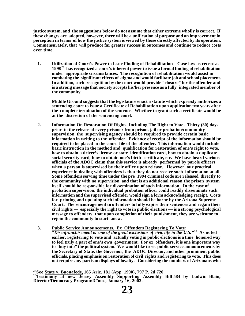**justice system, and the suggestions below do not assume that either extreme wholly is correct. If these changes are adopted, however, there will be a unification of purpose and an improvement in perception in terms of how the justice system is viewed by those directly affected by its operation. Commensurately, that will produce far greater success in outcomes and continue to reduce costs over time.**

**1. Utilization of Court's Power to Issue Finding of Rehabilitation. Case law as recent as 1990**<sup>27</sup> **has recognized a court's inherent power to issue a formal finding of rehabilitation under appropriate circumstances. The recognition of rehabilitation would assist in combating the significant effects of stigma and would facilitate job and school placement. In addition, such recognition by the court would provide "closure" for the offender and is a strong message that society accepts his/her presence as a fully\_integrated member of the community.**

**Middle Ground suggests that the legislature enact a statute which expressly authorizes a sentencing court to issue a Certificate of Rehabilitation upon application two years after the complete termination of the sentence. Whether to grant such a certificate would be at the discretion of the sentencing court.**

- **2. Information On Restoration Of Rights, Including The Right to Vote. Thirty (30) days prior to the release of every prisoner from prison, jail or probation/community supervision, the supervising agency should be required to provide certain basic information in writing to the offender. Evidence of receipt of the information should be required to be placed in the court file of the offender. This information would include basic instruction in the method and qualification for restoration of one's right to vote, how to obtain a driver's license or state identification card, how to obtain a duplicate social security card, how to obtain one's birth certificate, etc. We have heard various officials of the ADOC claim that this service is already performed by parole officers when a person is supervised by their office upon release. However, our practical experience in dealing with offenders is that they do not receive such information at all. Some offenders serving time under the pre\_1994 criminal code are released directly to the community with no supervision, and that is an additional reason the prison system itself should be responsible for dissemination of such information. In the case of probation supervision, the individual probation officer could readily disseminate such information and the supervised offender would sign a form acknowledging receipt. Costs for printing and updating such information should be borne by the Arizona Supreme Court. The encouragement to offenders to fully expire their sentences and regain their civil rights — especially the right to vote in public elections — is a strong psychological message to offenders that upon completion of their punishment, they are welcome to rejoin the community to start anew.**
- **3. Public Service Announcements. Ex\_Offenders Registering To Vote: "***Disenfranchisement is one of the great exclusions of civic life in the U.S.***"** <sup>28</sup> **As noted earlier, registering to vote and actually voting in public elections is a time\_honored way to feel truly a part of one's own government. For ex\_offenders, it is one important way to "buy into" the political system. We would like to see public service announcements by the Secretary of State, the Governor, the ADOC Director, and other prominent public officials, placing emphasis on restoration of civil rights and registering to vote. This does not require any partisan displays of loyalty. Considering the numbers of Arizonans who**

l <sup>27</sup>**See State v. Buonafede, 165 Ariz. 181 (App. 1990), 797 P. 2d 720.**

<sup>28</sup>**Testimony at new Jersey Assembly Supporting Assembly Bill 584 by Ludwic Blain, Director/Democracy Program/De˜mos, January 16, 2003.**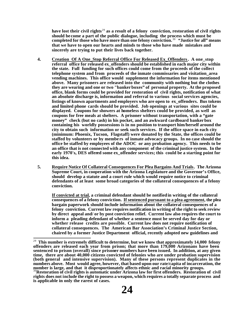**have lost their civil rights** <sup>29</sup> **as a result of a felony conviction, restoration of civil rights should be come a part of the public dialogue, including the process which must be completed for those who have more than one felony conviction.**<sup>30</sup> **"Justice for all" means that we have to open our hearts and minds to those who have made mistakes and sincerely are trying to put their lives back together.**

- **4. Creation Of A One\_Stop Referral Office For Released Ex\_Offenders. A one\_stop referral office for released ex\_offenders should be established in each major city within the state. Full funding for such offices could come from the proceeds of the collect telephone system and from proceeds of the inmate commissaries and visitation\_area vending machines. This office would supplement the information for items mentioned above. Many prisoners are released into the community with nothing but the clothes they are wearing and one or two "bankerboxes" of personal property. At the proposed office, blank forms could be provided for restoration of civil rights, notification of what an absolute discharge is, information and referral to various social services agencies, listings of known apartments and employers who are open to ex\_offenders. Bus tokens and limited phone cards should be provided. Job openings at various sites could be displayed. Coupons for showers at homeless shelters could be provided, as well as coupons for free meals at shelters. A prisoner without transportation, with a "gate money" check (but no cash) in his pocket, and an awkward cardboard bankerbox containing his worldly possessions is in no position to transport him/herself around the city to obtain such information or seek such services. If the office space in each city (minimum: Phoenix, Tucson, Flagstaff) were donated by the State, the offices could be staffed by volunteers or by membe rs of inmate advocacy groups. In no case should the office be staffed by employees of the ADOC or any probation agency. This needs to be an office that is not connected with any component of the criminal justice system. In the early 1970's, DES offered some ex\_offender services; this could be a starting point for this idea.**
- **5. Require Notice Of Collateral Consequences For Plea Bargains And Trials. The Arizona Supreme Court, in cooperation with the Arizona Legislature and the Governor's Office, should develop a statute and a court rule which would require notice to criminal defendants of at least some broad categories of the collateral consequences of a felony conviction.**

**If convicted at trial, a criminal defendant should be notified in writing of the collateral consequences of a felony conviction. If sentenced pursuant to a plea agreement, the plea bargain paperwork should include information about the collateral consequences of a felony conviction. Current law requires notification in writing of the right to seek review by direct appeal and/ or by post conviction relief. Current law also requires the court to inform a pleading defendant of whether a sentence must be served day for day or whether release credits are possible. Current law does not require notification of collateral consequences. The American Bar Association's Criminal Justice Section, chaired by a former Justice Department official, recently adopted new guidelines and** 

<sup>&</sup>lt;sup>29</sup> This number is extremely difficult to determine, but we know that approximately 14,000 felony **offenders are released each year from prison; that more than 179,000 Arizonans have been sentenced to prison (overall) since prisoner numbers have been issued. In addition, at any given time, there are about 40,000 citizens convicted of felonies who are under probation supervision (both general and intensive supervision). Many of these persons represent duplicates in the numbers above. Most would agree, however, that based upon our rate/capita of incarceration, the number is large, and that it disproportionately affects ethnic and racial minority groups.**

<sup>30</sup>**Restoration of civil rights is automatic under Arizona law for first offenders. Restoration of civil rights does not include the right to possess a weapon, which requires a totally separate process and is applicable in only the rarest of cases.**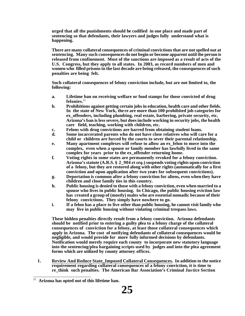**urged that all the punishments should be codified in one place and made part of sentencing so that defendants, their lawyers and judges fully understand what is happening.**

**There are many collateral consequences of criminal convictions that are not spelled out at sentencing. Many such consequences do not begin or become apparent until the person is released from confinement. Most of the sanctions are imposed as a result of acts of the U.S. Congress, but they apply to all states. In 2003, as record numbers of men and women who filled prisons in the last decade are being released, the consequences of such penalties are being felt.**

**Such collateral consequences of felony conviction include, but are not limited to, the following:**

- **a. Lifetime ban on receiving welfare or food stamps for those convicted of drug felonies.**<sup>31</sup>
- **b. Prohibitions against getting certain jobs in education, health care and other fields. In the state of New York, the re are more than 100 prohibited job categories for ex\_offenders, including plumbing, real estate, barbering, private security, etc. Arizona's ban is less severe, but does include working in security jobs, the health care field, teaching, working with children, etc.**
- **c. Felons with drug convictions are barred from obtaining student loans.**
- **d. Some incarcerated parents who do not have close relatives who will care for a child or children are forced by the courts to sever their parental relationship.**
- **e. Many apartment complexes will refuse to allow an ex\_felon to move into the complex, even when a spouse or family member has lawfully lived in the same complex for years prior to the ex\_offender returning home.**
- **f. Voting rights in some states are permanently revoked for a felony conviction. Arizona's statute (A.R.S. § 2\_904** *et seq.***) suspends voting rights upon conviction of a felony, but they are restored along with other rights (automatically for a first conviction and upon application after two years for subsequent convictions).**
- **g. Deportation is common after a felony conviction for aliens, even when they have children and close family ties in this country.**
- **h. Public housing is denied to those with a felony conviction, even when married to a spouse who lives in public housing. In Chicago, the public housing eviction law has created a group of (mostly) males who are essential nomadic because of their felony convictions. They simply have nowhere to go.**
- **i. If a felon has a place to live other than public housing, he cannot visit family who may live in public housing without violating criminal trespass laws.**

**These hidden penalties directly result from a felony conviction. Arizona defendants should be notified prior to entering a guilty plea to a felony charge of the collateral consequences of conviction for a felony, at least those collateral consequences which apply in Arizona. The cost of notifying defendants of collateral consequences would be negligible, and would provide for more fully informed decisions by defendants. Notification would merely require each county to incorporate new statutory language into the sentencing/plea bargaining scripts used by judges and into the plea agreement forms which are utilized by county attorney offices.**

**1. Review And Reduce State\_Imposed Collateral Consequences. In addition to the notice requirement regarding collateral consequences of a felony conviction, it is time to re\_think such penalties. The American Bar Association's Criminal Justice Section** 

<sup>31</sup> 31 **Arizona has opted out of this lifetime ban.**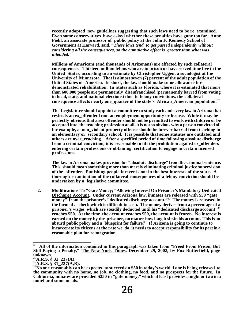recently adopted new guidelines suggesting that such laws need to be re examined. **Even some conservatives have asked whether these penalties have gone too far. Anne Piehl, an associate professor of public policy at the John F. Kennedy School of Government at Harvard, said, "***These laws tend to get passed independently without considering all the consequences, so the cumulative effect is greater than what was intended.***"**

**Millions of Americans (and thousands of Arizonans) are affected by such collateral consequences. Thirteen million felons who are in prison or have served time live in the United States, according to an estimate by Christopher Uggen, a sociologist at the University of Minnesota. That is almost seven (7) percent of the adult population of the United States of America. In short, the law should make some allowance for demonstrated rehabilitation. In states such as Florida, where it is estimated that more than 600,000 people are permanently disenfranchised (permanently barred from voting in local, state, and national elections) due to felony convictions, the collateral consequence affects nearly one\_quarter of the state's African\_American population.**<sup>32</sup>

**The Legislature should appoint a committee to study each and every law in Arizona that restricts an ex\_offender from an employment opportunity or license. While it may be perfectly obvious that a sex offender should not be permitted to work with children or be accepted into the teaching profession at all, it is not so obvious why a person convicted of,**  for example, a non violent property offense should be forever barred from teaching in **an elementary or secondary school. It is possible that some statutes are outdated and others are over\_reaching. After a specified period of time following absolute discharge from a criminal conviction, it is reasonable to lift the prohibition against ex\_offenders entering certain professions or obtaining certification to engage in certain licensed professions.**

**The law in Arizona makes provision for "absolute discharge" from the criminal sentence. This should mean something more than merely eliminating criminal justice supervision of the offender. Punishing people forever is not in the best interests of the state. A thorough examination of the collateral consequences of a felony conviction should be undertaken by a legislative committee.**

**2. Modifications To "Gate Money;" Allowing Interest On Prisoner's Mandatory Dedicated Discharge Account. Under current Arizona law, inmates are released with \$50 "gate money" from the prisoner's "dedicated discharge account."**<sup>33</sup> **The money is released in the form of a check which is difficult to cash. The money derives from a percentage of a**  prisoner's wages which are steadily deducted until his "dedicated discharge account"<sup>34</sup> **reaches \$50. At the time the account reaches \$50, the account is frozen. No interest is earned on the money by the prisoner, no matter how long it sits in his account. This is an absurd public policy and a blueprint for failure.**<sup>35</sup> **If Arizona is going to continue to incarcerate its citizens at the rate we do, it needs to accept responsibility for its part in a reasonable plan for reintegration.**

<sup>32</sup> <sup>32</sup> **All of the information contained in this paragraph was taken from "Freed From Prison, But Still Paying a Penalty," The New York Times, December 29, 2002, by Fox Butterfield, page unknown.**

<sup>33</sup>**A.R.S. § 31\_237(A).**

<sup>34</sup>**A.R.S. § 31\_237(A,B).**

<sup>35</sup>**No one reasonably can be expected to succeed on \$50 in today's world if one is being released to the community with no home, no job, no clothing, no food, and no prospects for the future. In California, inmates are provided \$250 in "gate money," which at least provides a night or two in a motel and some meals.**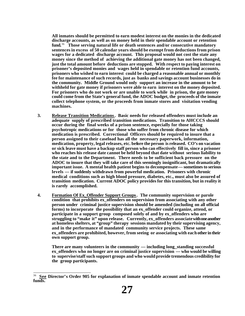**All inmates should be permitted to earn modest interest on the monies in the dedicated discharge accounts, as well as on money held in their spendable account or retention fund.**<sup>36</sup> **Those serving natural life or death sentences and/or consecutive mandatory sentences in excess of 50 calendar years should be exempt from deductions from prison wages for a dedicated discharge account. This proposal would not cost the state any money since the method of achieving the additional gate money has not been changed, just the total amount before deductions are stopped. With respect to paying interest on prisoner's deposited monies and wages held in spendable or retention fund accounts, prisoners who wished to earn interest could be charged a reasonable annual or monthly fee for maintenance of such records, just as banks and savings account businesses do in the community. Middle Ground would only support an increase in the amount to be withheld for gate money if prisoners were able to earn interest on the money deposited. For prisoners who do not work or are unable to work while in prison, the gate money could come from the State's general fund, the ADOC budget, the proceeds of the inmate collect telephone system, or the proceeds from inmate stores and visitation vending machines.**

- **3. Release Transition Medications. Basic needs for released offenders must include an adequate supply of prescribed transition medications. Transition to AHCCCS should occur during the final weeks of a prison sentence, especially for those taking psychotropic medications or for those who suffer from chronic disease for which medication is prescribed. Correctional Officers should be required to insure that a person assigned to their caseload has all the necessary paperwork, information, medication, property, legal releases, etc. before the person is released. CO's on vacation or sick leave must have a backup staff person who can effectively fill in, since a prisoner who reaches his release date cannot be held beyond that date without serious liability to the state and to the Department. There needs to be sufficient back pressure on the ADOC to insure that they will take care of this seemingly insignificant, but dramatically important issue. A mental health patient begins to decompensate — sometimes to serious levels — if suddenly withdrawn from powerful medication. Prisoners with chronic medical conditions such as high blood pressure, diabetes, etc., must also be assured of transition medication. Current ADOC policy provides for this transition, but in reality it is rarely accomplished.**
- **4. Formation Of Ex\_Offender Support Groups. The community supervision or parole condition that prohibits ex\_offenders on supervision from associating with any other person under criminal justice supervision should be amended (including on all official forms) to incorporate the possibility that an ex\_offender could organize, attend, or participate in a support group composed solely of and by ex\_offenders who are struggling to "make it" upon release. Currently, ex\_offenders associate with one another at homeless shelters, at "group" therapy sessions mandated by their supervising agency, and in the performance of mandated community service projects. These same ex\_offenders are prohibited, however, from seeing or associating with each other in their own support group.**

**There are many volunteers in the community — including long\_standing successful ex\_offenders who no longer are on criminal justice supervision — who would be willing to supervise/staff such support groups and who would provide tremendous credibility for the group participants.**

 36  **See Director's Order 905 for explanation of inmate spendable account and inmate retention funds.**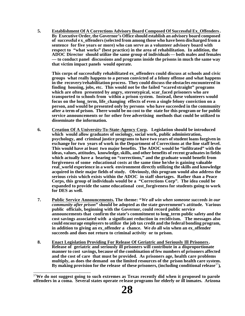**5. Establishment Of A Corrections Advisory Board Composed Of Successful Ex\_Offenders. By Executive Order, the Governor's Office should establish an advisory board composed of successful e x\_offenders (selected from among those who have been discharged from a sentence for five years or more) who can serve as a volunteer advisory board with respect to "what works" (best practice) in the area of rehabilitation. In addition, the ADOC Director should utilize the same group of individuals — both males and females — to conduct panel discussions and programs inside the prisons in much the same way that victim impact panels would operate.**

**This corps of successfully rehabilitated ex\_offenders could discuss at schools and civic groups what really happens to a person convicted of a felony offense and what happens in the recovery/rehabilitation process. They could discuss the obstacles encountered in finding housing, jobs, etc. This would not be the failed "scared straight" programs which are often presented by angry, stereotypical, scar\_faced prisoners who are transported to schools from within a prison system. Instead, these volunteers would focus on the long\_term, life\_changing effects of even a single felony conviction on a person, and would be presented only by persons who have succeeded in the community after a term of prison. There would be no cost to the state for this program or for public service announcements or for other free advertising methods that could be utilized to disseminate the information.**

- **6. Creation Of A University-To-State-Agency Corp. Legislation should be introduced which would allow graduates of sociology, social work, public administration, psychology, and criminal justice programs to have two years of student loans forgiven in exchange for two years of work in the Department of Corrections at the line staff level. This would have at least two major benefits. The ADOC would be "infiltrated" with the ideas, values, attitudes, knowledge, skills, and other benefits of recent graduates in fields which actually have a bearing on "corrections," and the graduate would benefit from forgiveness of some educational costs at the same time he/she is gaining valuable real\_world experience in a work environment directly utilizing the skills and knowledge acquired in their major fields of study. Obviously, this program would also address the serious crisis which exists within the ADOC in staff shortages. Rather than a Peace Corps, this group of individuals would be a "Corrections Corp". The idea could be expanded to provide the same educational cost\_forgiveness for students going to work for DES as well.**
- **7. Public Service Announcements. The theme: "***We all win when someone succeeds in our community after prison***" should be adopted as the state government's attitude. Various public officials, beginning with the Governor, could record public service announcements that confirm the state's commitment to long\_term public safety and the cost savings associated with a significant reduction in recidivism. The messages also could encourage employers to utilize the job tax credit and the federal bonding program, in addition to giving an ex\_offender a chance. We** *do* **all win when an ex\_offender succeeds and does not return to criminal activity or to prison.**
- **8. Enact Legislation Providing For Release Of Geriatric and Seriously Ill Prisoners. Release of geriatric and seriously ill prisoners will contribute in a disproportionate manner to cost savings, because of the combination of few numbers of prisoners affected and the cost of care that must be provided. As prisoners age, health care problems multiply, as does the demand on the limited resources of the prison health care system. By making provision for the release of these prisoners, (including conditional release**<sup>37</sup>**),**

l <sup>37</sup>**We do not suggest going to such extremes as Texas recently did when it proposed to parole offenders in a coma. Several states operate re lease programs for elderly or ill inmates. Arizona**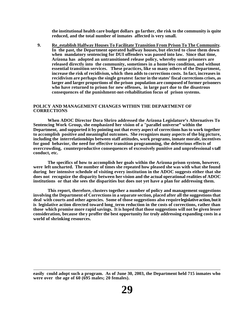**the institutional health care budget dollars go farther, the risk to the community is quite reduced, and the total number of inmates affected is very small.**

**9. Re\_establish Halfway Houses To Facilitate Transition From Prison To The Community. In the past, the Department operated halfway houses, but elected to close them down when mandatory sentencing for DUI offenders was passed into law. Since that time, Arizona has adopted an untransitioned release policy, whereby some prisoners are released directly into the community, sometimes in a home less condition, and without essential transition services. These practices, like so many others of the Department, increase the risk of recidivism, which then adds to corrections costs. In fact, increases in recidivism are perhaps the single greatest factor in the states' fiscal corrections crises, as larger and larger proportions of the prison population are composed of former prisoners who have returned to prison for new offenses, in large part due to the disastrous consequences of the punishment-not-rehabilitation focus of prison systems.**

#### **POLICY AND MANAGEMENT CHANGES WITHIN THE DEPARTMENT OF CORRECTIONS**

**When ADOC Director Dora Shriro addressed the Arizona Legislature's Alternatives To Sentencing Work Group, she emphasized her vision of a "parallel universe" within the Department, and supported it by pointing out that every aspect of corrections has to work together to accomplish positive and meaningful outcomes. She recognizes many aspects of the big picture, including the interrelationships between staff attitudes, work programs, inmate morale, incentives for good behavior, the need for effective transition programming, the deleterious effects of overcrowding, counterproductive consequences of excessively punitive and unprofessional staff conduct, etc.**

**The specifics of how to accomplish her goals within the Arizona prison system, however, were left uncharted. The number of times she repeated how pleased she was with what she found during her intensive schedule of visiting every institution in the ADOC suggests either that she does not recognize the disparity between her vision and the actual operational realities of ADOC institutions or that she sees the disparities but does not yet have a plan for addressing them.**

**This report, therefore, clusters together a number of policy and management suggestions involving the Department of Corrections in a separate section, placed after all the suggestions that deal with courts and other agencies. Some of those suggestions also require legislative action, but it**  is legislative action directed toward long term reduction in the costs of corrections, rather than **those which promise more rapid savings. It is hoped that those suggestions will not be given lesser consideration, because the y proffer the best opportunity for truly addressing expanding costs in a world of shrinking resources.**

l **easily could adopt such a program. As of June 30, 2003, the Department held 715 inmates who were over the age of 60 (695 males; 20 females).**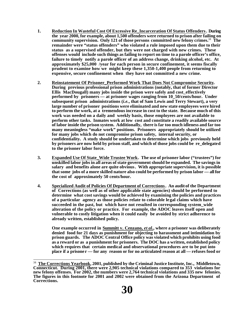- **1. Reduction In Wasteful Cost Of Excessive Re\_Incarceration Of Status Offenders. During the year 2000, for example, about 1,500 offenders were returned to prison after failing on community supervision. Only 121 of those persons committed new felony crimes.**<sup>38</sup> **The remainder were "status offenders" who violated a rule imposed upon them due to their status as a supervised offender, but they were not charged with new crimes. These offenses would include such things as failing to report on time to a parole officer's office, failure to timely notify a parole officer of an address change, drinking alcohol, etc. At approximately \$25,000 /year for each person in secure confinement, it seems fiscally prudent to examine how we might keep these 1,350-1,400 people from returning to expensive, secure confinement when they have not committed a new crime.**
- **2. Reinstatement Of Prisoner\_Performed Work That Does Not Compromise Security. During previous professional prison administrations (notably, that of former Director Ellis MacDougall) many jobs inside the prison were safely and cost\_effectively performed by prisoners — at prisoner wages ranging from 10\_50/cents/hour. Under subsequent prison administrations (***i.e.***, that of Sam Lewis and Terry Stewart), a very large number of prisoner positions were eliminated and new state employees were hired to perform the work, at a tremendous increase in cost to the state. Because much of this work was needed on a daily and weekly basis, those employees are not available to perform other tasks. Inmates work at low cost and constitute a readily available source of labor inside the prison system. Additionally, there is far too much idleness and far too many meaningless "make work" positions. Prisoners appropriately should be utilized for many jobs which do not compromise prison safety, internal security, or confidentiality. A study should be undertaken to determine which jobs previously held by prisoners are now held by prison staff, and which of those jobs could be re\_delegated to the prisoner labor force.**
- **3. Expanded Use Of State\_Wide Trustee Work. The use of prisoner labor ("trustees") for unskilled labor jobs in all areas of state government should be expanded. The savings in salary and benefits alone are quite obvious. With appropriate supervision, it is possible that some jobs of a more skilled nature also could be performed by prison labor — all for the cost of approximately 50 cents/hour.**
- **4. Specialized Audit of Policies Of Department of Corrections. An audit of the Department of Corrections (as well as of other applicable state agencies) should be performed to determine what cost savings would be achieved by examining the policies and practices of a particular agency as those policies relate to colorable le gal claims which have succeeded in the past, but which have not resulted in corresponding system\_wide alteration of the policy or practice. For example, the ADOC leaves itself open and vulnerable to costly litigation when it could easily be avoided by strict adherence to already written, established policy.**

**One example occurred in Summitt v. Cenzano,** *et al.***, where a prisoner was deliberately denied food for 21 days as punishment for objecting to harassment and intimidation by prison guards. The ADOC Central Office policy was violated which prohibits using food as a reward or as a punishment for prisoners. The DOC has a written, established policy which requires that certain medical and observational procedures are to be put into place if a prisone r — for any reason or for no articulated reason at all — refuses food or** 

 38  **The Corrections Yearbook, 2001, published by the Criminal Justice Institute, Inc., Middletown, Connecticut. During 2001, there were 2,905 technical violations compared to 353 violations for new felony offenses. For 2002, the numbers were 2,764 technical violations and 335 new felonies. The figures in this footnote for 2001 and 2002 were obtained from the Arizona Department of Corrections.**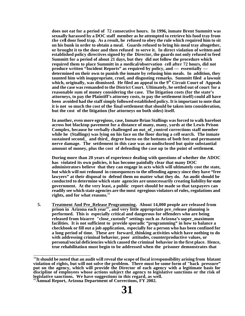**does not eat for a period of 72 consecutive hours. In 1996, inmate Brent Summitt was sexually harassed by a DOC staff member as he attempted to retrieve his food tray from the cell door food trap. As a result, he refused to obey the rule which required him to sit on his bunk in order to obtain a meal. Guards refused to bring his meal tray altogether, or brought it to the door and then refused to serve it. In direct violation of written and established policy directives signed by the Director, the guards not only refused to feed Summitt for a period of about 21 days, but they did not follow the procedure which required them to place Summitt in a medical/observation cell after 72 hours, did not produce written "Incident Reports" as required by policy, and — essentially determined on their own to punish the inmate by refusing him meals. In addition, they taunted him with inappropriate, cruel, and disgusting remarks. Summitt filed a lawsuit which, originally, was dismissed. He filed an appeal to the 9th Circuit Court of Appeals and the case was remanded to the District Court. Ultimately, he settled out of court for a reasonable sum of money considering the case. The litigation costs (for the state's attorneys, to pay the Plaintiff's attorney costs, to pay the settlement itself) could all have been avoided had the staff simply followed established policy. It is important to note that it is not so much the cost of the final settlement that should be taken into consideration, but the cost of the litigation (for attorneys on both sides) itself.** 

**In another, even more egregious, case, Inmate Brian Stallings was forced to walk barefoot across hot blacktop pavement for a distance of many, many, yards at the Lewis Prison Complex, because he verbally challenged an out\_of\_control corrections staff member while he (Stallings) was lying on his face on the floor during a cell search. The inmate sustained second\_ and third\_ degree burns on the bottoms of both feet and permanent nerve damage. The settlement in this case was an undisclosed but quite substantial amount of money, plus the cost of defending the case up to the point of settlement.**

**During more than 20 years of experience dealing with questions of whether the ADOC has violated its own policies, it has become painfully clear that many DOC administrators believe that they can engage in acts which will ultimately cost the state, but which will not redound in consequences to the offending agency since they have "free lawyers" at their disposal to defend them no matter what they do. An audit should be conducted to determine which state agencies are unnecessarily creating liability for state government. At the very least, a public report should be made so that taxpayers can readily see which state agencies are the most egregious violators of rules, regulations and rights, and for what reasons.**<sup>39</sup>

**5. Treatment And Pre\_Release Programming. About 14,000 people are released from prison in Arizona each year<sup>40</sup>, and very little appropriate pre\_release planning is performed. This is especially critical and dangerous for offenders who are being released from bizarre "close\_custody" settings such as Arizona's super\_maximum facilities. It is not sufficient to provide sporadic "programming" in how to balance a checkbook or fill out a job application, especially for a person who has been confined for a long period of time. These are forward\_thinking activities which have nothing to do with addressing criminal behavior, poor attitudes, counterproductive values, or personal/social deficiencies which caused the criminal behavior in the first place. Hence, true rehabilitation must begin to be addressed when the prisoner demonstrates that** 

l <sup>39</sup>**It should be noted that an audit will reveal the scope of fiscal irresponsibility arising from blatant violation of rights, but will not solve the problem. There must be some form of "back pressure" put on the agency, which will provide the Director of each agency with a legitimate basis for discipline of employees whose actions subject the agency to legislative sanctions or the risk of legislative sanctions. We have suggestions in this regard, as well.**

<sup>40</sup>**Annual Report, Arizona Department of Corrections, FY 2002.**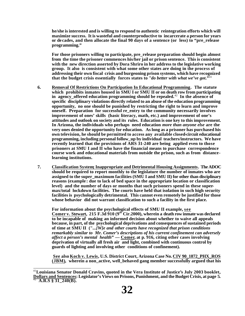**he/she is interested and is willing to respond to authentic reintegration efforts which will maximize success. It is wasteful and counterproductive to incarcerate a person for years or de cades, and then allocate the final 90 days of a sentence (or less) to "pre\_release programming."**

**For those prisoners willing to participate, pre\_release preparation should begin almost from the time the prisoner commences his/her jail or prison sentence. This is consistent with the new direction asserted by Dora Shriro in her address to the legislative working group. It also is consistent with what some other states are doing in the process of addressing their own fiscal crisis and burgeoning prison systems, which have recognized that the budget crisis essentially forces states to "***do better with what we've got***."**<sup>41</sup>

- **6. Removal Of Restrictions On Participation In Educational Programming. The statute which prohibits inmates housed in SMU I or SMU II or on death row from participating in agency\_offered education programming should be repealed.**<sup>42</sup> **In the absence of specific disciplinary violations directly related to an abuse of the education programming opportunity, no one should be punished by restricting the right to learn and improve oneself. Preparation for successful re\_entry to the community necessarily involves improvement of ones' skills (basic literacy, math, etc.) and improvement of one's attitudes and outlook on society and its rules. Education is one key to this improvement. In Arizona, the individuals who perhaps need education** *more than anyone else* **are the very ones denied the opportunity for education. As long as a prisoner has purchased his own television, he should be permitted to access any available closed-circuit educational programming, including personal follow\_up by individual teachers/instructors. We have recently learned that the provisions of ARS 31-240 are being applied even to those prisoners at SMU I and II who have the financial means to purchase correspondence course work and educational materials from outside the prison, such as from distancelearning institutions.**
- **7. Classification System; Inappropriate and Detrimental Housing Assignments. The ADOC should be required to report monthly to the legislature the number of inmates who are assigned to the super\_maximum facilities (SMU I and SMU II) for other than disciplinary reasons (example : due to lack of bed space in the appropriate location or classification level) and the number of days or months that such prisoners spend in these supermax/total lockdown facilities. The courts have held that isolation in such high security facilities is psychologically detrimental. This cannot even remotely be justified for those whose behavior did not warrant classification to such a facility in the first place.**

**For information about the psychological effects of SMU II example, see Comer v. Stewart, 215 F.3d 910 (9th Cir.2000), wherein a death row inmate was declared to be incapable of making an informed decision about whether to waive all appeals because, in part, of the psychological deprivations and consequences of sustained periods of time at SMU II ("***...[W]e and other courts have recognized that prison conditions remarkably similar to Mr. Comer's descriptions of his current confinement can adversely affect a person's mental health***" — Comer, at p. 916, citing other cases involving deprivation of virtually all fresh air and light, combined with continuous control by guards of lighting and involving other conditions of confinement).**

**See also Koch v. Lewis, U.S. District Court, Arizona Case No. CIV 90\_1872\_PHX\_ROS (JBM), wherein a non\_active, well\_behaved gang member successfully argued that his** 

<sup>41</sup>**Louisiana Senator Donald Cravins, quoted in the Vera Institute of Justice's July 2003 booklet, Dollars and Sentences: Legislator's Views on Prisons, Punishment, and the Budget Crisis, at page 5.** <sup>42</sup> **A.R.S § 31\_240(B).**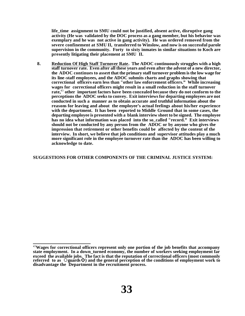**life\_time assignment to SMU could not be justified, absent active, disruptive gang activity (He was validated by the DOC process as a gang member, but his behavior was exemplary and he was not active in gang activity). He was ordered removed from the severe confinement at SMU II, transferred to Winslow, and now is on successful parole supervision in the community. Forty to sixty inmates in similar situations to Koch are presently litigating their placement at SMU II.**

**8. Reduction Of High Staff Turnover Rate. The ADOC continuously struggles with a high staff turnover rate. Even after all these years and even after the advent of a new director, the ADOC continues to assert that the primary staff turnover problem is the low wage for its line -staff employees, and the ADOC submits charts and graphs showing that correctional officers earn less than "other law enforcement officers." While increasing wages for correctional officers might result in a small reduction in the staff turnover rate,**<sup>43</sup> **other important factors have been concealed because they do not conform to the perceptions the ADOC seeks to convey. Exit interviews for departing employees are not conducted in such a manner as to obtain accurate and truthful information about the reasons for leaving and about the employee's actual feelings about his/her experience with the department. It has been reported to Middle Ground that in some cases, the departing employee is presented with a blank interview sheet to be signed. The employee has no idea what information was placed into the so\_called "record." Exit interviews should not be conducted by any person from the ADOC or by anyone who gives the impression that retirement or other benefits could be affected by the content of the interview. In short, we believe that job conditions and supervisor attitudes play a much more significant role in the employee turnover rate than the ADOC has been willing to acknowledge to date.**

#### **SUGGESTIONS FOR OTHER COMPONENTS OF THE CRIMINAL JUSTICE SYSTEM:**

<sup>43</sup>**Wages for correctional officers represent only one portion of the job benefits that accompany state employment. In a down\_turned economy, the number of workers seeking employment far exceed the available jobs. The fact is that the reputation of correctional officers (most commonly referred to as**  $\circ$  **guards**  $\circ$ ) and the general perception of the conditions of employment work to **disadvantage the Department in the recruitment process.**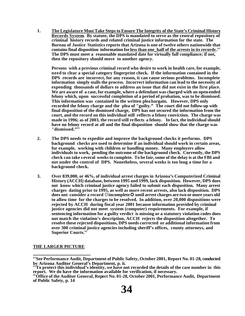**1. The Legislature Must Take Steps to Ensure The Integrity of the State's Criminal History Records System. By statute, the DPS is mandated to serve as the central repository of criminal history records and related criminal justice information for the state. The Bureau of Justice Statistics reports that Arizona is one of twelve others nationwide that contains final disposition information for less than one\_half of the arrests in its records.** 44  **The DPS must meet a reasonable mandated date for virtually full compliance; if not, then the repository should move to another agency.**

**Persons with a previous criminal record who desire to work in health care, for example, need to clear a special category fingerprint check. If the information contained in the DPS records are incorrect, for any reason, it can cause serious problems. Incomplete information simply stalls the process. Incorrect information can lead to the necessity of expending thousands of dollars to address an issue that did not exist in the first place. We are aware of a case, for example, where a defendant was charged with an open-ended felony which, upon successful completion of a period of probation, was to be dismissed. This information was contained in the written pleabargain. However, DPS only recorded the felony charge and the plea of "guilty." The court did not follow-up with final disposition of the dismissed charge, DPS has not secured the information from the court, and the record on this individual still reflects a felony conviction. The charge was made in 1996; as of 2003, the record still re flects a felony. In fact, the individual should have no felony record at all and the final disposition should show that the charge was "dismissed."**<sup>45</sup>

- **2. The DPS needs to expedite and improve the background checks it performs. DPS background checks are used to determine if an individual should work in certain areas, for example, working with children or handling money. Many employers allow individuals to work, pending the outcome of the background check. Currently, the DPS check can take s everal weeks to complete. To be fair, some of the delay is at the FBI and not under the control of DPS. Nonetheless, several weeks is too long a time for a background check.**
- **3. Over 839,000, or 46%, of individual arrest charges in Arizona's Computerized Criminal History (ACCH) database, between 1995 and 1999, lack disposition. However, DPS does not know which criminal justice agency failed to submit each disposition. Many arrest charges dating prior to 1995, as well as more recent arrests, also lack disposition. DPS**  does not consider a record  $\Diamond$  incomplete  $\Diamond$  until arrest charges are two or more years old **to allow time for the charges to be resolved. In addition, over 20,000 dispositions were rejected by ACCH during fiscal year 2001 because information provided by criminal justice agencies did not meet system (computer) requirements. For example, if sentencing information for a guilty verdict is missing or a statutory violation codes does not match the violation's description, ACCH rejects the disposition altogether. To resolve these rejected dispositions, DPS needs corrected or additional information from over 300 criminal justice agencies including sheriff's offices, county attorneys, and Superior Courts.**<sup>46</sup>

#### **THE LARGER PICTURE**

<sup>44</sup>**See Performance Audit, Department of Public Safety, October 2001, Report No. 01-28, conducted by Arizona Auditor General's Department, p. ii.**

<sup>45</sup>**To protect this individual's identity, we have not recorded the details of the case number in this report. We do have the information available for verification, if necessary.**

<sup>&</sup>lt;sup>46</sup>Office of the Auditor General, Report No. 01-28, October 2001, Performance Audit, Department **of Public Safety, p. 14**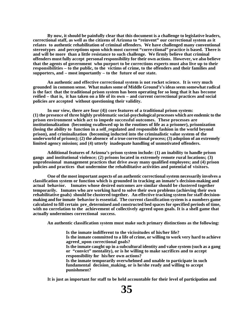**By now, it should be painfully clear that this document is a challenge to legislative leaders, correctional staff, as well as the citizens of Arizona to "reinvent" our correctional system as it relates to authentic rehabilitation of criminal offenders. We have challenged many conventional stereotypes and perceptions upon which most current "corre ctional" practice is based. There is and will be more than a little resistance to such challenge. We firmly believe that criminal offenders must fully accept personal responsibility for their own actions. However, we also believe that the agents of government who purport to be corrections experts must also live up to their responsibilities – to the public, to the victims of crime, to the offenders and their families and supporters, and – most importantly – to the future of our state.**

**An authentic and effective correctional system is not rocket science. It is very much grounded in common sense. What makes some of Middle Ground's's ideas seem somewhat radical is the fact that the traditional prison system has been operating for so long that it has become reified – that is, it has taken on a life of its own – and current correctional practices and social policies are accepted without questioning their validity.**

**In our view, there are four (4)) core features of a traditional prison system: (1) the presence of three highly problematic social-psychological processes which are endemic to the prison environment which act to impede successful outcomes. These processes are institutionalization (becoming swallowed up in the routines of life as a prisoner), prisonization (losing the ability to function in a self\_regulated and responsible fashion in the world beyond prison), and criminalization (becoming inducted into the criminalistic value system of the underworld of prisons); (2) the absence of a true correctional process; (3) adoption of an extremely limited agency mission; and (4) utterly inadequate handling of unmotivated offenders.**

**Additional features of Arizona's prison system include: (1) an inability to handle prison gangs and institutional violence; (2) prisons located in extremely remote rural locations; (3) unprofessional management practices that drive away many qualified employees; and (4) prison policies and practices that undermine the rehabilitative activities and potential of visitors.**

**One of the most important aspects of an authentic correctional system necessarily involves a classification system or function which is grounded in tracking an inmate's decision-making and actual behavior. Inmates whose desired outcomes are similar should be clustered together temporarily. Inmates who are working hard to solve their own problems (achieving their own rehabilitative goals) should be clustered together. An effective tracking system for staff decisionmaking and for inmate behavior is essential. The current classification system is a numbers game calculated to fill certain pre\_determined and constructed bed spaces for specified periods of time,**  with no correlation to the achievement of collectively agreed upon goals. It is a shell game that **actually undermines correctional success.**

**An authentic classification system must make such primary distinctions as the following:**

**Is the inmate indifferent to the vicissitudes of his/her life?**

**Is the inmate committed to a life of crime, or willing to work very hard to achieve agreed\_upon correctional goals?**

**Is the inmate caught up in a subcultural identity and value system (such as a gang or "convict" mentality), or is he willing to make sacrifices and to accept responsibility for his/her own actions?**

**Is the inmate temporarily overwhelmed and unable to participate in such fundamental decision\_making, or is he/she ready and willing to accept punishment?**

**It is just as important for staff to be held accountable for their level of participation and**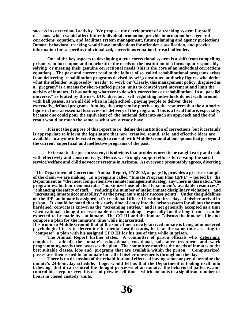**success in correctional activity. We propose the development of a tracking system for staff decisions which would affect future individual promotion, provide information for a general corrections equation, and facilitate system management, future planning and agency projections. Inmate behavioral tracking would have implications for offender classification, and provide information for a specific, individualized, corrections equation for each offender.**

**One of the key aspects to developing a true correctional system is a shift from compelling prisoners to focus upon and to prioritize the needs of the institution to a focus upon responsibly solving or meeting their genuine correctional needs (this is the core of an individual corrections equation). The past and current road to the failure of so\_called rehabilitational programs arises from delivering rehabilitation programs devised by self\_constituted authority figures who define what the offender supposedly "needs" to work on**<sup>47</sup>**Clearly, this management policy, disguised as a "program" is a means for short-staffed prison units to control yard movement and limit the activity of inmates. It has nothing whatever to do with corrections or rehabilitation. In a "parallel universe," as touted by the ne w DOC director, self\_regulating individuals do not walk around with hall passes, as we all did when in high school., paying people to deliver these externally\_defined programs, funding the program by purchasing the resources that the authority figure de fines as essential to successful delivery of the program. This is a fiscal failure, especially, because one could pour the equivalent of the national debt into such an approach and the end result would be much the same as what we already have.**

It is not the purpose of this report to re\_define the institution of corrections, but it certainly **is appropriate to inform the legislature that new, creative, sound, safe, and effective ideas are available to anyone interested enough to consult with Middle Ground about options that go beyond the current superficial and ineffective programs of the past.**

**External to the prison system, it is obvious that problems need to be caught early and dealt with effectively and constructively. Hence, we strongly support efforts to re -vamp the social service/welfare and child advocacy systems in Arizona. As everyone presumably agrees, diverting** 

l

**compose a plan for the inmate's time while incarcerated."** It is ironic to Middle Ground that at the same time a newly-arrived inmate is being administered **psychological tests to determine his mental health status, he is at the same time assisting to "compose" a plan with his assigned CPO III for his use of time while in prison.** 

<sup>47</sup>**The Department of Corrections Annual Report, FY 2002, at page 16, provides a precise example of the claim we are making. In a program called "Inmate Program Plan (IPP)," – touted by the Department as "the most comprehensive inmate management strategy anywhere in this nation,"the program evaluation demonstrates "maximized use of the Department's available resources," "enhancing the safety of staff," "reducing the number of major inmate disciplinary violations," and "increasing inmate accountability," as the program's major success points. Under the guidelines**  of the IPP, an inmate is assigned a Correctional Officer III within three days of his/her arrival in **prison. It should be noted that this early time of entry into the prison system for all but the most hardened convicts is known as the "screaming entries," and is not generally accepted as a time when rational thought or reasonable decision-making – especially for the long term – can be expected to be made by an inmate. The CO III and the inmate "discuss the inmate's file and** 

**The Annual Report further states, "A committee of prison officials who determine (emphasis added) the inmate's educational, vocational, substance treatment and work programming needs then assesses the plan. The committee matches the needs of inmates to the best suitable classes, jobs and programs that are available within the prison." Computerized passes are then issued to an inmate for all of his/her movements throughout the day.**

**There is no discussion of the rehabilitational effects of having someone pre -determine the inmate's 24-hour/day schedule. Logic would tell us that the Department is fooling itself into believing that it can control the thought processes of an inmate, the behavioral patterns, and control his sleep or even his use of private cell time – which amounts to a significant number of hours in closed custody units.**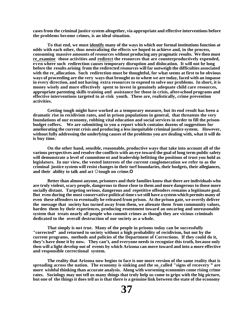**cases from the criminal justice system altogether, via appropriate and effective interventions before the problems become crimes, is an ideal situation.**

**To that end, we must identify many of the ways in which our formal institutions function at odds with each other, thus neutralizing the effects we hoped to achieve and, in the process, consuming massive amounts of resources without producing any pragmatic results. We then must**  re examine those activities and redirect the resources that are counterproductively expended, **even where such redirection causes temporary disruption and dislocation. It will not be long before the results arising from the redirected resources will far outweigh the difficulties associated**  with the re-allocation. Such redirection must be thoughtful, for what seems at first to be obvious **ways of proceeding are the very ways that brought us to where we are today, faced with an impasse in every direction, and not having extra resources to expend to solve our problems. In short, it is money wisely and more effectively spent to invest in genuinely adequate child care resources, appropriate parenting skills training and assistance for those in crisis, after-school programs and effective interventions targeted to at-risk youth. These are, realistically, crime prevention activities.** 

**Getting tough might have worked as a temporary measure, but its end result has been a dramatic rise in recidivism rates, and in prison populations in general, that threatens the very foundations of our economy, robbing vital education and social services in order to fill the prisonbudget coffers. We are submitting to you a report which contains dozens of suggestions for ameliorating the current crisis and producing a less inequitable criminal justice system. However, without fully addressing the underlying causes of the problems you are dealing with, what it will do is buy time.**

**On the other hand, sensible, reasonable, productive ways that take into account all of the various perspectives and resolve the conflicts with an eye toward the goal of long term public safety will demonstrate a level of commitment and leadership befitting the positions of trust you hold as legislators. In our view, the vested interests of the current conglomeration we refer to as the criminal justice system will resist changes in their turf boundaries, their budgets, their allegiances,**  and their ability to talk and act  $\Diamond$  tough on crime. $\Diamond$ 

**Better than almost anyone, prisoners and their families know that there are individuals who are truly violent, scary people, dangerous to those close to them and more dangerous to those more socially distant. Targeting serious, dangerous and repetitive offenders remains a legitimate goal. But even during the most conservative political time s we still have a system which permits many of even these offenders to eventually be released from prison. At the prison gate, we overtly deliver the message that society has turned away from them, we alienate them from community values, harden them by their experiences, producing resentment toward an uncaring and unreasonable system that treats nearly all people who commit crimes as though they are vicious criminals dedicated to the overall destruction of our society as a whole.**

**That simply is not true. Many of the people in prisons today can be successfully "corrected" and returned to society without a high probability of recidivism, but not by the current programs, methods and policies of the Department of Corrections. If they could do it, they's have done it by now. They can't, and everyone needs to recognize this truth, because only then will a light develop out of events by which Arizona can move toward and into a more effective and responsible correctional system.**

**The reality that Arizona now begins to face is one more version of the same reality that is spreading across the nation. The economy is sinking and the so\_called "signs of recovery " are more wishful thinking than accurate analysis. Along with worsening economies come rising crime rates. Sociology may not tell us many things that truly help us come to grips with the big picture, but one of the things it does tell us is that there is a genuine link between the state of the economy**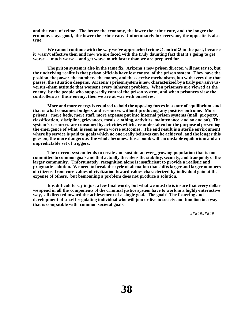**and the rate of crime. The better the economy, the lower the crime rate, and the longer the economy stays good, the lower the crime rate. Unfortunately for everyone, the opposite is also true.**

We cannot continue with the way we've approached crime  $\circ$  control  $\circ$  in the past, because **it wasn't effective then and now we are faced with the truly daunting fact that it's going to get worse – much worse – and get worse much faster than we are prepared for.**

**The prison system is also in the same fix. Arizona's new prison director will not say so, but the underlying reality is that prison officials have lost control of the prison system. They have the position, the power, the numbers, the money, and the coercive mechanisms, but with every day that passes, the situation deepens. Arizona's prison system is now characterized by a truly pervasive usversus-them attitude that worsens every inherent problem. When prisoners are viewed as the enemy by the people who supposedly control the prison system, and when prisoners view the controllers as the ir enemy, then we are at war with ourselves.**

**More and more energy is required to hold the opposing forces in a state of equilibrium, and that is what consumes budgets and resources without producing any positive outcome. More prisons, more beds, more staff, more expense put into internal prison systems (mail, property, classification, discipline, grievances, meals, clothing, activities, maintenance, and on and on). The system's resources are consumed by activities which are undertaken for the purpose of preventing the emergence of what is seen as even worse outcomes. The end result is a sterile environment where lip service is paid to goals which no one really believes can be achieved, and the longer this goes on, the more dangerous the whole becomes. It is a bomb with an unstable equilibrium and an unpredictable set of triggers.**

**The current system tends to create and sustain an ever\_growing population that is not committed to common goals and that actually threatens the stability, security, and tranquility of the larger community. Unfortunately, recognition alone is insufficient to provide a realistic and pragmatic solution. We need to break the cycle of alienation that shifts larger and larger numbers of citizens from core values of civilization toward values characterized by individual gain at the expense of others, but bemoaning a problem does not produce a solution.**

**It is difficult to say in just a few final words, but what we must do is insure that every dollar we spend in all the components of the criminal justice system have to work in a highly-interactive way, all directed toward the achievement of a single goal. The goal? The fostering and development of a self-regulating individual who will join or live in society and function in a way that is compatible with common societal goals.** 

 **##########**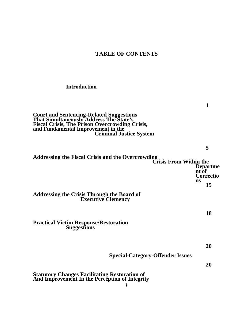# **TABLE OF CONTENTS**

# **Introduction**

**Court and Sentencing-Related Suggestions That Simultaneously Address The State's Fiscal Crisis, The Prison Overcrowding Crisis, and Fundamental Improvement in the Criminal Justice System**

**Addressing the Fiscal Crisis and the Overcrowding Crisis From Within the Departme nt of Correctio ns 15 Addressing the Crisis Through the Board of**

**Executive Clemency**

**18**

**1**

**5**

**Practical Victim Response/Restoration Suggestions**

**20**

**Special-Category-Offender Issues**

**20**

**Statutory Changes Facilitating Restoration of And Improvement In the Perception of Integrity**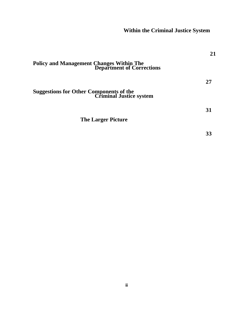# **Within the Criminal Justice System**

|                                                                               | 21 |
|-------------------------------------------------------------------------------|----|
| <b>Policy and Management Changes Within The<br/>Department of Corrections</b> |    |
|                                                                               | 27 |
| <b>Suggestions for Other Components of the<br/>Criminal Justice system</b>    |    |
|                                                                               | 31 |
| <b>The Larger Picture</b>                                                     |    |
|                                                                               | 33 |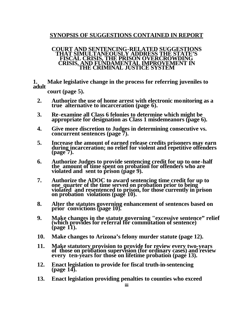# **SYNOPSIS OF SUGGESTIONS CONTAINED IN REPORT**

#### **COURT AND SENTENCING-RELATED SUGGESTIONS THAT SIMULTANEOUSLY ADDRESS THE STATE'S FISCAL CRISIS, THE PRISON OVERCROWDING CRISIS, AND FUNDAMENTAL IMPROVEMENT IN THE CRIMINAL JUSTICE SYSTEM**

**1. Make legislative change in the process for referring juveniles to adult** 

**court (page 5).**

- **2. Authorize the use of home arrest with electronic monitoring as a true alternative to incarceration (page 6).**
- **3. Re-examine all Class 6 felonies to determine which might be appropriate for designation as Class 1 misdemeanors (page 6).**
- **4. Give more discretion to Judges in determining consecutive vs. concurrent sentences (page 7).**
- **5. Increase the amount of earned release credits prisoners may earn during incarceration; no relief for violent and repetitive offenders (page 7).**
- **6. Authorize Judges to provide sentencing credit for up to one-half the amount of time spent on probation for offenders who are violated and sent to prison (page 9).**
- **7. Authorize the ADOC to award sentencing time credit for up to one\_quarter of the time served on probation prior to being violated and resentenced to prison, for those currently in prison on probation violations (page 10).**
- **8. Alter the statutes governing enhancement of sentences based on prior convictions (page 10).**
- **9. Make changes in the statute governing "excessive sentence" relief (which provides for referral for commutation of sentence) (page 11).**
- **10. Make changes to Arizona's felony murder statute (page 12).**
- **11. Make statutory provision to provide for review every two-years of those on probation supervision (for ordinary cases) and review every ten-years for those on lifetime probation (page 13).**
- **12. Enact legislation to provide for fiscal truth-in-sentencing (page 14).**
- **13. Enact legislation providing penalties to counties who exceed**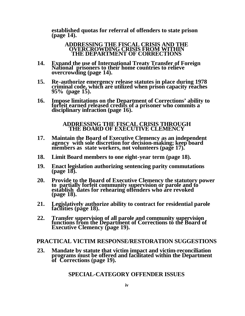**established quotas for referral of offenders to state prison (page 14).**

**ADDRESSING THE FISCAL CRISIS AND THE OVERCROWDING CRISIS FROM WITHIN THE DEPARTMENT OF CORRECTIONS**

- **14. Expand the use of International Treaty Transfer of Foreign National prisoners to their home countries to relieve overcrowding (page 14).**
- **15. Re-authorize emergency release statutes in place during 1978 criminal code, which are utilized when prison capacity reaches 95% (page 15).**
- **16. Impose limitations on the Department of Corrections' ability to forfeit earned released credits of a prisoner who commits a disciplinary infraction (page 16).**

### **ADDRESSING THE FISCAL CRISIS THROUGH THE BOARD OF EXECUTIVE CLEMENCY**

- **17. Maintain the Board of Executive Clemency as an independent agency with sole discretion for decision-making; keep board members as state workers, not volunteers (page 17).**
- **18. Limit Board members to one eight-year term (page 18).**
- **19. Enact legislation authorizing sentencing parity commutations (page 18).**
- **20. Provide to the Board of Executive Clemency the statutory power to partially forfeit community supervision or parole and to establish dates for rehearing offenders who are revoked (page 18).**
- **21. Legislatively authorize ability to contract for residential parole facilities (page 18).**
- **22. Transfer supervision of all parole and community supervision functions from the Department of Corrections to the Board of Executive Clemency (page 19).**

### **PRACTICAL VICTIM RESPONSE/RESTORATION SUGGESTIONS**

**23. Mandate by statute that victim impact and victim-reconciliation programs must be offered and facilitated within the Department of Corrections (page 19).**

# **SPECIAL-CATEGORY OFFENDER ISSUES**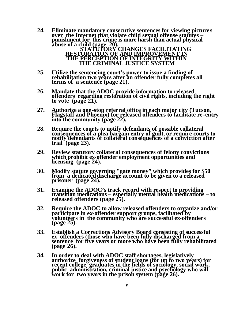**24. Eliminate mandatory consecutive sentences for viewing pictures over the Internet that violate child sexual offense statutes – punishment for this crime is more harsh than actual physical abuse of a child (page 20).**

**STATUTORY CHANGES FACILITATING RESTORATION OF AND IMPROVEMENT IN THE PERCEPTION OF INTEGRITY WITHIN THE CRIMINAL JUSTICE SYSTEM**

- **25. Utilize the sentencing court's power to issue a finding of rehabilitation two years after an offender fully completes all terms of a sentence (page 21).**
- **26. Mandate that the ADOC provide information to released offenders regarding restoration of civil rights, including the right to vote (page 21).**
- **27. Authorize a one-stop referral office in each major city (Tucson, Flagstaff and Phoenix) for released offenders to facilitate re-entry into the community (page 22).**
- **28. Require the courts to notify defendants of possible collateral consequences of a plea bargain entry of guilt, or require courts to notify defendants of collateral consequences of a conviction after trial (page 23).**
- **29. Review statutory collateral consequences of felony convictions which prohibit ex-offender employment opportunities and licensing (page 24).**
- **30. Modify statute governing "gate money" which provides for \$50 from a dedicated discharge account to be given to a released prisoner (page 24).**
- **31. Examine the ADOC's track record with respect to providing transition medications – especially mental health medications – to released offenders (page 25).**
- **32. Require the ADOC to allow released offenders to organize and/or participate in ex-offender support groups, facilitated by volunteers in the community who are successful ex-offenders (page 25).**
- **33. Establish a Corrections Advisory Board consisting of successful ex\_offenders (those who have been fully discharged from a sentence for five years or more who have been fully rehabilitated (page 26).**
- **34. In order to deal with ADOC staff shortages, legislatively authorize forgiveness of student loans (for up to two years) for recent college graduates in the fields of sociology, social work, public administration, criminal justice and psychology who will work for two years in the prison system (page 26).**